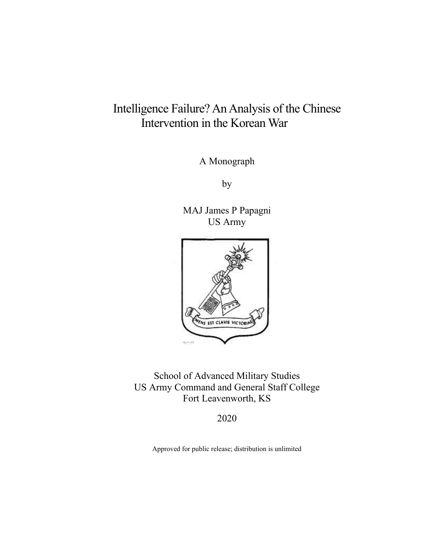# Intelligence Failure? An Analysis of the Chinese Intervention in the Korean War

A Monograph

by

MAJ James P Papagni US Army



School of Advanced Military Studies US Army Command and General Staff College Fort Leavenworth, KS

2020

Approved for public release; distribution is unlimited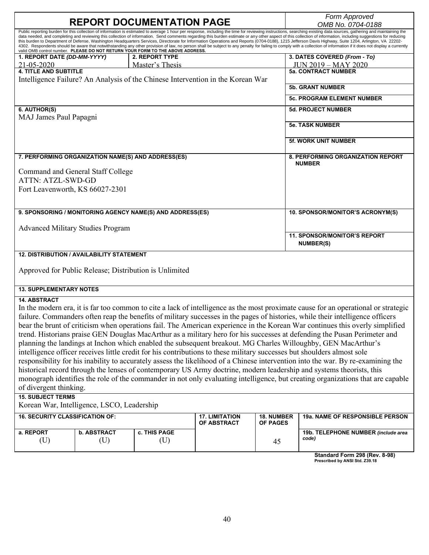|                                                                                                  |                    |                                                                                 |                       |                                  | Form Approved                                                                                                                                                                                                                                                                                                                                                                                                                                                                                                                                                                                                                                                                                                                                                                                                                                                                                                                                                                                                                                                                                                                                                               |
|--------------------------------------------------------------------------------------------------|--------------------|---------------------------------------------------------------------------------|-----------------------|----------------------------------|-----------------------------------------------------------------------------------------------------------------------------------------------------------------------------------------------------------------------------------------------------------------------------------------------------------------------------------------------------------------------------------------------------------------------------------------------------------------------------------------------------------------------------------------------------------------------------------------------------------------------------------------------------------------------------------------------------------------------------------------------------------------------------------------------------------------------------------------------------------------------------------------------------------------------------------------------------------------------------------------------------------------------------------------------------------------------------------------------------------------------------------------------------------------------------|
| <b>REPORT DOCUMENTATION PAGE</b>                                                                 |                    |                                                                                 |                       |                                  | OMB No. 0704-0188                                                                                                                                                                                                                                                                                                                                                                                                                                                                                                                                                                                                                                                                                                                                                                                                                                                                                                                                                                                                                                                                                                                                                           |
|                                                                                                  |                    | valid OMB control number. PLEASE DO NOT RETURN YOUR FORM TO THE ABOVE ADDRESS.  |                       |                                  | Public reporting burden for this collection of information is estimated to average 1 hour per response, including the time for reviewing instructions, searching existing data sources, gathering and maintaining the<br>data needed, and completing and reviewing this collection of information. Send comments regarding this burden estimate or any other aspect of this collection of information, including suggestions for reducing<br>this burden to Department of Defense, Washington Headquarters Services, Directorate for Information Operations and Reports (0704-0188), 1215 Jefferson Davis Highway, Suite 1204, Arlington, VA 22202-<br>4302. Respondents should be aware that notwithstanding any other provision of law, no person shall be subject to any penalty for failing to comply with a collection of information if it does not display a currently                                                                                                                                                                                                                                                                                               |
| 1. REPORT DATE (DD-MM-YYYY)                                                                      |                    | 2. REPORT TYPE                                                                  |                       |                                  | 3. DATES COVERED (From - To)                                                                                                                                                                                                                                                                                                                                                                                                                                                                                                                                                                                                                                                                                                                                                                                                                                                                                                                                                                                                                                                                                                                                                |
| 21-05-2020                                                                                       |                    | Master's Thesis                                                                 |                       |                                  | <b>JUN 2019 - MAY 2020</b>                                                                                                                                                                                                                                                                                                                                                                                                                                                                                                                                                                                                                                                                                                                                                                                                                                                                                                                                                                                                                                                                                                                                                  |
| <b>4. TITLE AND SUBTITLE</b>                                                                     |                    |                                                                                 |                       |                                  | <b>5a. CONTRACT NUMBER</b>                                                                                                                                                                                                                                                                                                                                                                                                                                                                                                                                                                                                                                                                                                                                                                                                                                                                                                                                                                                                                                                                                                                                                  |
|                                                                                                  |                    | Intelligence Failure? An Analysis of the Chinese Intervention in the Korean War |                       |                                  |                                                                                                                                                                                                                                                                                                                                                                                                                                                                                                                                                                                                                                                                                                                                                                                                                                                                                                                                                                                                                                                                                                                                                                             |
|                                                                                                  |                    |                                                                                 |                       |                                  | <b>5b. GRANT NUMBER</b>                                                                                                                                                                                                                                                                                                                                                                                                                                                                                                                                                                                                                                                                                                                                                                                                                                                                                                                                                                                                                                                                                                                                                     |
|                                                                                                  |                    |                                                                                 |                       |                                  | <b>5c. PROGRAM ELEMENT NUMBER</b>                                                                                                                                                                                                                                                                                                                                                                                                                                                                                                                                                                                                                                                                                                                                                                                                                                                                                                                                                                                                                                                                                                                                           |
| 6. AUTHOR(S)                                                                                     |                    |                                                                                 |                       |                                  | <b>5d. PROJECT NUMBER</b>                                                                                                                                                                                                                                                                                                                                                                                                                                                                                                                                                                                                                                                                                                                                                                                                                                                                                                                                                                                                                                                                                                                                                   |
| MAJ James Paul Papagni                                                                           |                    |                                                                                 |                       |                                  |                                                                                                                                                                                                                                                                                                                                                                                                                                                                                                                                                                                                                                                                                                                                                                                                                                                                                                                                                                                                                                                                                                                                                                             |
|                                                                                                  |                    |                                                                                 |                       |                                  | <b>5e. TASK NUMBER</b>                                                                                                                                                                                                                                                                                                                                                                                                                                                                                                                                                                                                                                                                                                                                                                                                                                                                                                                                                                                                                                                                                                                                                      |
|                                                                                                  |                    |                                                                                 |                       |                                  | <b>5f. WORK UNIT NUMBER</b>                                                                                                                                                                                                                                                                                                                                                                                                                                                                                                                                                                                                                                                                                                                                                                                                                                                                                                                                                                                                                                                                                                                                                 |
| 7. PERFORMING ORGANIZATION NAME(S) AND ADDRESS(ES)                                               |                    |                                                                                 |                       |                                  | <b>8. PERFORMING ORGANIZATION REPORT</b><br><b>NUMBER</b>                                                                                                                                                                                                                                                                                                                                                                                                                                                                                                                                                                                                                                                                                                                                                                                                                                                                                                                                                                                                                                                                                                                   |
| Command and General Staff College                                                                |                    |                                                                                 |                       |                                  |                                                                                                                                                                                                                                                                                                                                                                                                                                                                                                                                                                                                                                                                                                                                                                                                                                                                                                                                                                                                                                                                                                                                                                             |
| <b>ATTN: ATZL-SWD-GD</b>                                                                         |                    |                                                                                 |                       |                                  |                                                                                                                                                                                                                                                                                                                                                                                                                                                                                                                                                                                                                                                                                                                                                                                                                                                                                                                                                                                                                                                                                                                                                                             |
| Fort Leavenworth, KS 66027-2301                                                                  |                    |                                                                                 |                       |                                  |                                                                                                                                                                                                                                                                                                                                                                                                                                                                                                                                                                                                                                                                                                                                                                                                                                                                                                                                                                                                                                                                                                                                                                             |
|                                                                                                  |                    |                                                                                 |                       |                                  |                                                                                                                                                                                                                                                                                                                                                                                                                                                                                                                                                                                                                                                                                                                                                                                                                                                                                                                                                                                                                                                                                                                                                                             |
|                                                                                                  |                    |                                                                                 |                       |                                  |                                                                                                                                                                                                                                                                                                                                                                                                                                                                                                                                                                                                                                                                                                                                                                                                                                                                                                                                                                                                                                                                                                                                                                             |
| 9. SPONSORING / MONITORING AGENCY NAME(S) AND ADDRESS(ES)                                        |                    |                                                                                 |                       | 10. SPONSOR/MONITOR'S ACRONYM(S) |                                                                                                                                                                                                                                                                                                                                                                                                                                                                                                                                                                                                                                                                                                                                                                                                                                                                                                                                                                                                                                                                                                                                                                             |
| <b>Advanced Military Studies Program</b>                                                         |                    |                                                                                 |                       |                                  |                                                                                                                                                                                                                                                                                                                                                                                                                                                                                                                                                                                                                                                                                                                                                                                                                                                                                                                                                                                                                                                                                                                                                                             |
|                                                                                                  |                    |                                                                                 |                       |                                  |                                                                                                                                                                                                                                                                                                                                                                                                                                                                                                                                                                                                                                                                                                                                                                                                                                                                                                                                                                                                                                                                                                                                                                             |
|                                                                                                  |                    |                                                                                 |                       |                                  | 11. SPONSOR/MONITOR'S REPORT<br><b>NUMBER(S)</b>                                                                                                                                                                                                                                                                                                                                                                                                                                                                                                                                                                                                                                                                                                                                                                                                                                                                                                                                                                                                                                                                                                                            |
| <b>12. DISTRIBUTION / AVAILABILITY STATEMENT</b>                                                 |                    |                                                                                 |                       |                                  |                                                                                                                                                                                                                                                                                                                                                                                                                                                                                                                                                                                                                                                                                                                                                                                                                                                                                                                                                                                                                                                                                                                                                                             |
| Approved for Public Release; Distribution is Unlimited                                           |                    |                                                                                 |                       |                                  |                                                                                                                                                                                                                                                                                                                                                                                                                                                                                                                                                                                                                                                                                                                                                                                                                                                                                                                                                                                                                                                                                                                                                                             |
| <b>13. SUPPLEMENTARY NOTES</b>                                                                   |                    |                                                                                 |                       |                                  |                                                                                                                                                                                                                                                                                                                                                                                                                                                                                                                                                                                                                                                                                                                                                                                                                                                                                                                                                                                                                                                                                                                                                                             |
| <b>14. ABSTRACT</b>                                                                              |                    |                                                                                 |                       |                                  |                                                                                                                                                                                                                                                                                                                                                                                                                                                                                                                                                                                                                                                                                                                                                                                                                                                                                                                                                                                                                                                                                                                                                                             |
| of divergent thinking.<br><b>15. SUBJECT TERMS</b><br>Korean War, Intelligence, LSCO, Leadership |                    |                                                                                 |                       |                                  | In the modern era, it is far too common to cite a lack of intelligence as the most proximate cause for an operational or strategic<br>failure. Commanders often reap the benefits of military successes in the pages of histories, while their intelligence officers<br>bear the brunt of criticism when operations fail. The American experience in the Korean War continues this overly simplified<br>trend. Historians praise GEN Douglas MacArthur as a military hero for his successes at defending the Pusan Perimeter and<br>planning the landings at Inchon which enabled the subsequent breakout. MG Charles Willoughby, GEN MacArthur's<br>intelligence officer receives little credit for his contributions to these military successes but shoulders almost sole<br>responsibility for his inability to accurately assess the likelihood of a Chinese intervention into the war. By re-examining the<br>historical record through the lenses of contemporary US Army doctrine, modern leadership and systems theorists, this<br>monograph identifies the role of the commander in not only evaluating intelligence, but creating organizations that are capable |
| <b>16. SECURITY CLASSIFICATION OF:</b>                                                           |                    |                                                                                 | <b>17. LIMITATION</b> | 18. NUMBER                       | 19a. NAME OF RESPONSIBLE PERSON                                                                                                                                                                                                                                                                                                                                                                                                                                                                                                                                                                                                                                                                                                                                                                                                                                                                                                                                                                                                                                                                                                                                             |
| a. REPORT                                                                                        | <b>b. ABSTRACT</b> | c. THIS PAGE                                                                    | OF ABSTRACT           | <b>OF PAGES</b>                  | 19b. TELEPHONE NUMBER (include area                                                                                                                                                                                                                                                                                                                                                                                                                                                                                                                                                                                                                                                                                                                                                                                                                                                                                                                                                                                                                                                                                                                                         |

**Standard Form 298 (Rev. 8-98) Prescribed by ANSI Std. Z39.18**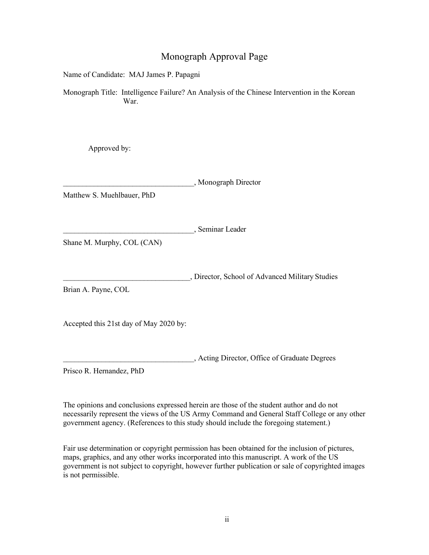## Monograph Approval Page

Name of Candidate: MAJ James P. Papagni

Monograph Title: Intelligence Failure? An Analysis of the Chinese Intervention in the Korean War.

Approved by:

\_\_\_\_\_\_\_\_\_\_\_\_\_\_\_\_\_\_\_\_\_\_\_\_\_\_\_\_\_\_\_\_\_\_, Monograph Director

Matthew S. Muehlbauer, PhD

\_\_\_\_\_\_\_\_\_\_\_\_\_\_\_\_\_\_\_\_\_\_\_\_\_\_\_\_\_\_\_\_\_\_, Seminar Leader

Shane M. Murphy, COL (CAN)

\_\_\_\_\_\_\_\_\_\_\_\_\_\_\_\_\_\_\_\_\_\_\_\_\_\_\_\_\_\_\_\_\_, Director, School of Advanced Military Studies

Brian A. Payne, COL

Accepted this 21st day of May 2020 by:

\_\_\_\_\_\_\_\_\_\_\_\_\_\_\_\_\_\_\_\_\_\_\_\_\_\_\_\_\_\_\_\_\_\_, Acting Director, Office of Graduate Degrees

Prisco R. Hernandez, PhD

The opinions and conclusions expressed herein are those of the student author and do not necessarily represent the views of the US Army Command and General Staff College or any other government agency. (References to this study should include the foregoing statement.)

Fair use determination or copyright permission has been obtained for the inclusion of pictures, maps, graphics, and any other works incorporated into this manuscript. A work of the US government is not subject to copyright, however further publication or sale of copyrighted images is not permissible.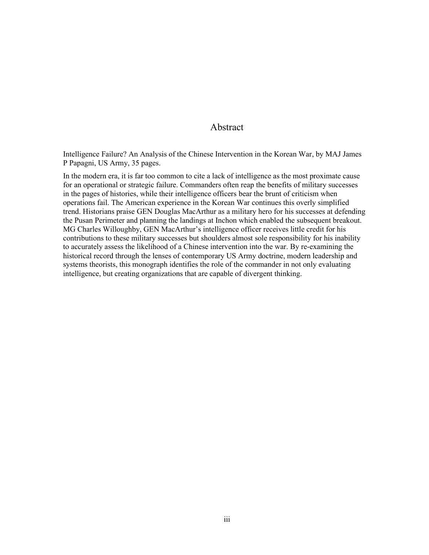#### Abstract

Intelligence Failure? An Analysis of the Chinese Intervention in the Korean War, by MAJ James P Papagni, US Army, 35 pages.

In the modern era, it is far too common to cite a lack of intelligence as the most proximate cause for an operational or strategic failure. Commanders often reap the benefits of military successes in the pages of histories, while their intelligence officers bear the brunt of criticism when operations fail. The American experience in the Korean War continues this overly simplified trend. Historians praise GEN Douglas MacArthur as a military hero for his successes at defending the Pusan Perimeter and planning the landings at Inchon which enabled the subsequent breakout. MG Charles Willoughby, GEN MacArthur's intelligence officer receives little credit for his contributions to these military successes but shoulders almost sole responsibility for his inability to accurately assess the likelihood of a Chinese intervention into the war. By re-examining the historical record through the lenses of contemporary US Army doctrine, modern leadership and systems theorists, this monograph identifies the role of the commander in not only evaluating intelligence, but creating organizations that are capable of divergent thinking.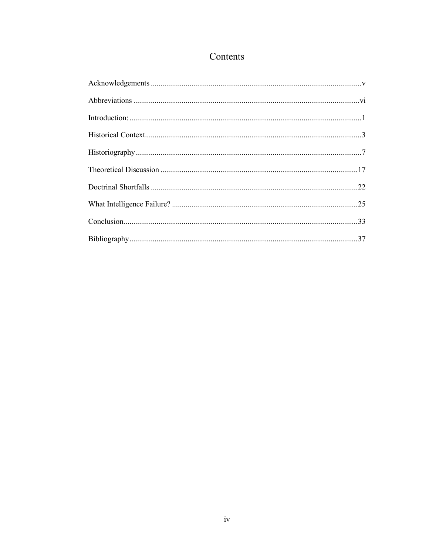## Contents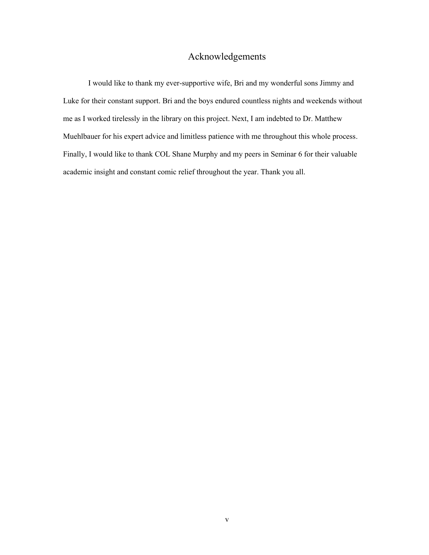## Acknowledgements

<span id="page-5-0"></span>I would like to thank my ever-supportive wife, Bri and my wonderful sons Jimmy and Luke for their constant support. Bri and the boys endured countless nights and weekends without me as I worked tirelessly in the library on this project. Next, I am indebted to Dr. Matthew Muehlbauer for his expert advice and limitless patience with me throughout this whole process. Finally, I would like to thank COL Shane Murphy and my peers in Seminar 6 for their valuable academic insight and constant comic relief throughout the year. Thank you all.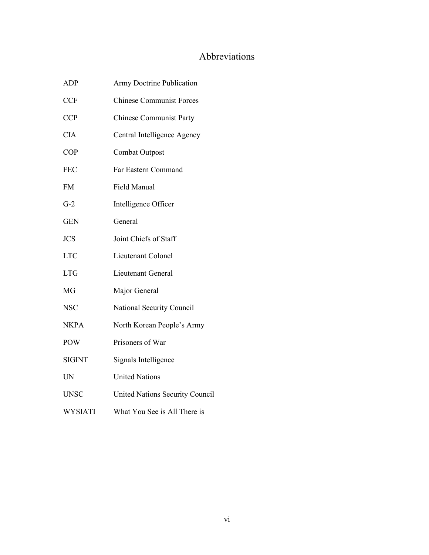## Abbreviations

<span id="page-6-0"></span>

| <b>ADP</b>     | Army Doctrine Publication       |  |
|----------------|---------------------------------|--|
| <b>CCF</b>     | <b>Chinese Communist Forces</b> |  |
| <b>CCP</b>     | <b>Chinese Communist Party</b>  |  |
| <b>CIA</b>     | Central Intelligence Agency     |  |
| <b>COP</b>     | Combat Outpost                  |  |
| <b>FEC</b>     | Far Eastern Command             |  |
| <b>FM</b>      | Field Manual                    |  |
| $G-2$          | Intelligence Officer            |  |
| <b>GEN</b>     | General                         |  |
| <b>JCS</b>     | Joint Chiefs of Staff           |  |
| <b>LTC</b>     | Lieutenant Colonel              |  |
| <b>LTG</b>     | Lieutenant General              |  |
| MG             | Major General                   |  |
| <b>NSC</b>     | National Security Council       |  |
| <b>NKPA</b>    | North Korean People's Army      |  |
| <b>POW</b>     | Prisoners of War                |  |
| <b>SIGINT</b>  | Signals Intelligence            |  |
| <b>UN</b>      | <b>United Nations</b>           |  |
| <b>UNSC</b>    | United Nations Security Council |  |
| <b>WYSIATI</b> | What You See is All There is    |  |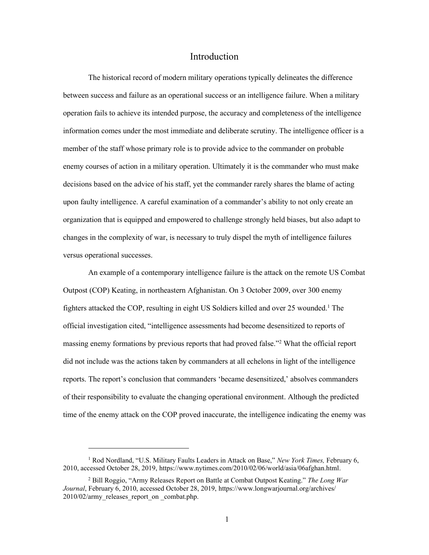#### Introduction

The historical record of modern military operations typically delineates the difference between success and failure as an operational success or an intelligence failure. When a military operation fails to achieve its intended purpose, the accuracy and completeness of the intelligence information comes under the most immediate and deliberate scrutiny. The intelligence officer is a member of the staff whose primary role is to provide advice to the commander on probable enemy courses of action in a military operation. Ultimately it is the commander who must make decisions based on the advice of his staff, yet the commander rarely shares the blame of acting upon faulty intelligence. A careful examination of a commander's ability to not only create an organization that is equipped and empowered to challenge strongly held biases, but also adapt to changes in the complexity of war, is necessary to truly dispel the myth of intelligence failures versus operational successes.

An example of a contemporary intelligence failure is the attack on the remote US Combat Outpost (COP) Keating, in northeastern Afghanistan. On 3 October 2009, over 300 enemy fighters attacked the COP, resulting in eight US Soldiers killed and over 25 wounded.<sup>1</sup> The official investigation cited, "intelligence assessments had become desensitized to reports of massing enemy formations by previous reports that had proved false."<sup>2</sup> What the official report did not include was the actions taken by commanders at all echelons in light of the intelligence reports. The report's conclusion that commanders 'became desensitized,' absolves commanders of their responsibility to evaluate the changing operational environment. Although the predicted time of the enemy attack on the COP proved inaccurate, the intelligence indicating the enemy was

<sup>1</sup> Rod Nordland, "U.S. Military Faults Leaders in Attack on Base," *New York Times,* February 6, 2010, accessed October 28, 2019, https://www.nytimes.com/2010/02/06/world/asia/06afghan.html.

<sup>2</sup> Bill Roggio, "Army Releases Report on Battle at Combat Outpost Keating." *The Long War Journal*, February 6, 2010, accessed October 28, 2019, https://www.longwarjournal.org/archives/ 2010/02/army\_releases\_report\_on\_combat.php.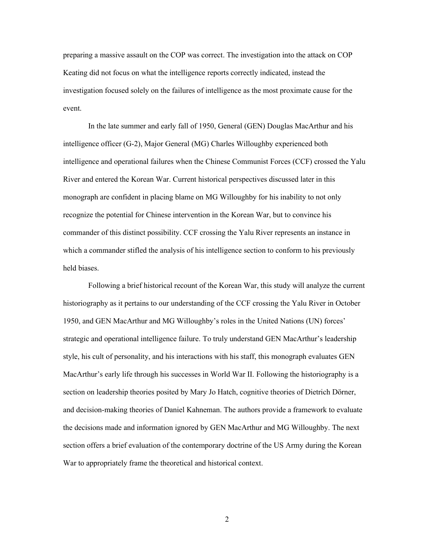preparing a massive assault on the COP was correct. The investigation into the attack on COP Keating did not focus on what the intelligence reports correctly indicated, instead the investigation focused solely on the failures of intelligence as the most proximate cause for the event.

In the late summer and early fall of 1950, General (GEN) Douglas MacArthur and his intelligence officer (G-2), Major General (MG) Charles Willoughby experienced both intelligence and operational failures when the Chinese Communist Forces (CCF) crossed the Yalu River and entered the Korean War. Current historical perspectives discussed later in this monograph are confident in placing blame on MG Willoughby for his inability to not only recognize the potential for Chinese intervention in the Korean War, but to convince his commander of this distinct possibility. CCF crossing the Yalu River represents an instance in which a commander stifled the analysis of his intelligence section to conform to his previously held biases.

Following a brief historical recount of the Korean War, this study will analyze the current historiography as it pertains to our understanding of the CCF crossing the Yalu River in October 1950, and GEN MacArthur and MG Willoughby's roles in the United Nations (UN) forces' strategic and operational intelligence failure. To truly understand GEN MacArthur's leadership style, his cult of personality, and his interactions with his staff, this monograph evaluates GEN MacArthur's early life through his successes in World War II. Following the historiography is a section on leadership theories posited by Mary Jo Hatch, cognitive theories of Dietrich Dörner, and decision-making theories of Daniel Kahneman. The authors provide a framework to evaluate the decisions made and information ignored by GEN MacArthur and MG Willoughby. The next section offers a brief evaluation of the contemporary doctrine of the US Army during the Korean War to appropriately frame the theoretical and historical context.

2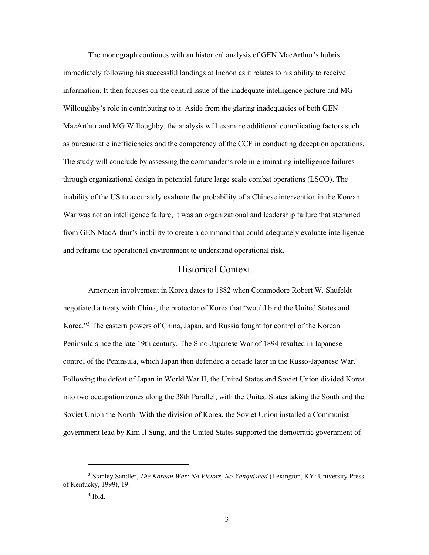The monograph continues with an historical analysis of GEN MacArthur's hubris immediately following his successful landings at Inchon as it relates to his ability to receive information. It then focuses on the central issue of the inadequate intelligence picture and MG Willoughby's role in contributing to it. Aside from the glaring inadequacies of both GEN MacArthur and MG Willoughby, the analysis will examine additional complicating factors such as bureaucratic inefficiencies and the competency of the CCF in conducting deception operations. The study will conclude by assessing the commander's role in eliminating intelligence failures through organizational design in potential future large scale combat operations (LSCO). The inability of the US to accurately evaluate the probability of a Chinese intervention in the Korean War was not an intelligence failure, it was an organizational and leadership failure that stemmed from GEN MacArthur's inability to create a command that could adequately evaluate intelligence and reframe the operational environment to understand operational risk.

#### Historical Context

American involvement in Korea dates to 1882 when Commodore Robert W. Shufeldt negotiated a treaty with China, the protector of Korea that "would bind the United States and Korea."<sup>3</sup> The eastern powers of China, Japan, and Russia fought for control of the Korean Peninsula since the late 19th century. The Sino-Japanese War of 1894 resulted in Japanese control of the Peninsula, which Japan then defended a decade later in the Russo-Japanese War.<sup>4</sup> Following the defeat of Japan in World War II, the United States and Soviet Union divided Korea into two occupation zones along the 38th Parallel, with the United States taking the South and the Soviet Union the North. With the division of Korea, the Soviet Union installed a Communist government lead by Kim Il Sung, and the United States supported the democratic government of

<sup>3</sup> Stanley Sandler, *The Korean War: No Victors, No Vanquished* (Lexington, KY: University Press of Kentucky, 1999), 19.

<sup>4</sup> Ibid.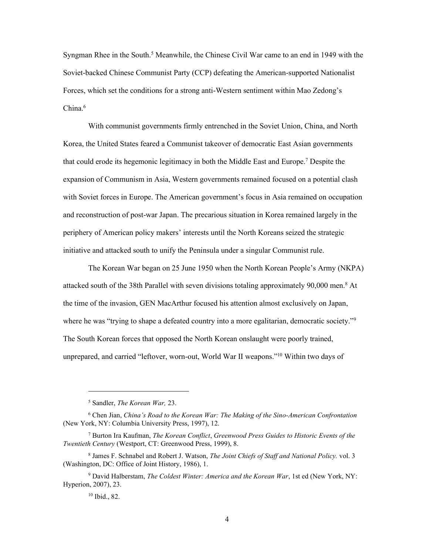Syngman Rhee in the South.<sup>5</sup> Meanwhile, the Chinese Civil War came to an end in 1949 with the Soviet-backed Chinese Communist Party (CCP) defeating the American-supported Nationalist Forces, which set the conditions for a strong anti-Western sentiment within Mao Zedong's  $China.<sup>6</sup>$ 

With communist governments firmly entrenched in the Soviet Union, China, and North Korea, the United States feared a Communist takeover of democratic East Asian governments that could erode its hegemonic legitimacy in both the Middle East and Europe.<sup>7</sup> Despite the expansion of Communism in Asia, Western governments remained focused on a potential clash with Soviet forces in Europe. The American government's focus in Asia remained on occupation and reconstruction of post-war Japan. The precarious situation in Korea remained largely in the periphery of American policy makers' interests until the North Koreans seized the strategic initiative and attacked south to unify the Peninsula under a singular Communist rule.

The Korean War began on 25 June 1950 when the North Korean People's Army (NKPA) attacked south of the 38th Parallel with seven divisions totaling approximately  $90,000$  men.<sup>8</sup> At the time of the invasion, GEN MacArthur focused his attention almost exclusively on Japan, where he was "trying to shape a defeated country into a more egalitarian, democratic society."<sup>9</sup> The South Korean forces that opposed the North Korean onslaught were poorly trained, unprepared, and carried "leftover, worn-out, World War II weapons."<sup>10</sup> Within two days of

<sup>5</sup> Sandler, *The Korean War,* 23.

<sup>6</sup> Chen Jian, *China's Road to the Korean War: The Making of the Sino-American Confrontation* (New York, NY: Columbia University Press, 1997), 12.

<sup>7</sup> Burton Ira Kaufman, *The Korean Conflict*, *Greenwood Press Guides to Historic Events of the Twentieth Century* (Westport, CT: Greenwood Press, 1999), 8.

<sup>8</sup> James F. Schnabel and Robert J. Watson, *The Joint Chiefs of Staff and National Policy.* vol. 3 (Washington, DC: Office of Joint History, 1986), 1.

<sup>9</sup> David Halberstam, *The Coldest Winter: America and the Korean War*, 1st ed (New York, NY: Hyperion, 2007), 23.

<sup>10</sup> Ibid., 82.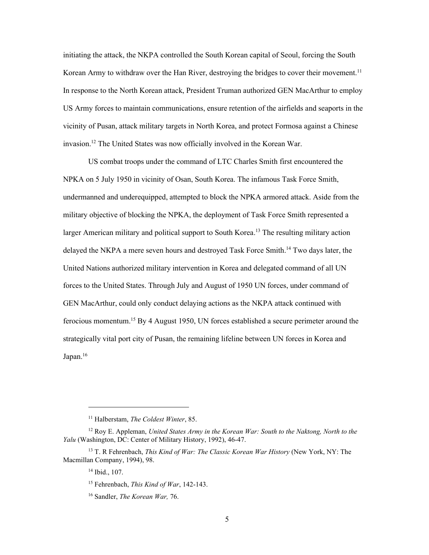initiating the attack, the NKPA controlled the South Korean capital of Seoul, forcing the South Korean Army to withdraw over the Han River, destroying the bridges to cover their movement.<sup>11</sup> In response to the North Korean attack, President Truman authorized GEN MacArthur to employ US Army forces to maintain communications, ensure retention of the airfields and seaports in the vicinity of Pusan, attack military targets in North Korea, and protect Formosa against a Chinese invasion.<sup>12</sup> The United States was now officially involved in the Korean War.

US combat troops under the command of LTC Charles Smith first encountered the NPKA on 5 July 1950 in vicinity of Osan, South Korea. The infamous Task Force Smith, undermanned and underequipped, attempted to block the NPKA armored attack. Aside from the military objective of blocking the NPKA, the deployment of Task Force Smith represented a larger American military and political support to South Korea. <sup>13</sup> The resulting military action delayed the NKPA a mere seven hours and destroyed Task Force Smith.<sup>14</sup> Two days later, the United Nations authorized military intervention in Korea and delegated command of all UN forces to the United States. Through July and August of 1950 UN forces, under command of GEN MacArthur, could only conduct delaying actions as the NKPA attack continued with ferocious momentum.<sup>15</sup> By 4 August 1950, UN forces established a secure perimeter around the strategically vital port city of Pusan, the remaining lifeline between UN forces in Korea and Japan.<sup>16</sup>

<sup>11</sup> Halberstam, *The Coldest Winter*, 85.

<sup>12</sup> Roy E. Appleman, *United States Army in the Korean War: South to the Naktong, North to the Yalu* (Washington, DC: Center of Military History, 1992), 46-47.

<sup>13</sup> T. R Fehrenbach, *This Kind of War: The Classic Korean War History* (New York, NY: The Macmillan Company, 1994), 98.

<sup>14</sup> Ibid., 107.

<sup>15</sup> Fehrenbach, *This Kind of War*, 142-143.

<sup>16</sup> Sandler, *The Korean War,* 76.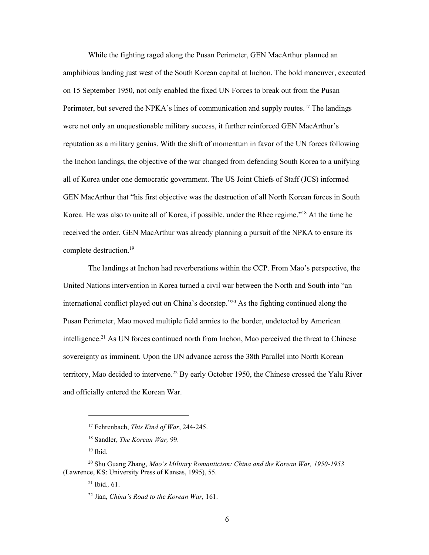While the fighting raged along the Pusan Perimeter, GEN MacArthur planned an amphibious landing just west of the South Korean capital at Inchon. The bold maneuver, executed on 15 September 1950, not only enabled the fixed UN Forces to break out from the Pusan Perimeter, but severed the NPKA's lines of communication and supply routes.<sup>17</sup> The landings were not only an unquestionable military success, it further reinforced GEN MacArthur's reputation as a military genius. With the shift of momentum in favor of the UN forces following the Inchon landings, the objective of the war changed from defending South Korea to a unifying all of Korea under one democratic government. The US Joint Chiefs of Staff (JCS) informed GEN MacArthur that "his first objective was the destruction of all North Korean forces in South Korea. He was also to unite all of Korea, if possible, under the Rhee regime."<sup>18</sup> At the time he received the order, GEN MacArthur was already planning a pursuit of the NPKA to ensure its complete destruction.<sup>19</sup>

The landings at Inchon had reverberations within the CCP. From Mao's perspective, the United Nations intervention in Korea turned a civil war between the North and South into "an international conflict played out on China's doorstep."<sup>20</sup> As the fighting continued along the Pusan Perimeter, Mao moved multiple field armies to the border, undetected by American intelligence.<sup>21</sup> As UN forces continued north from Inchon, Mao perceived the threat to Chinese sovereignty as imminent. Upon the UN advance across the 38th Parallel into North Korean territory, Mao decided to intervene.<sup>22</sup> By early October 1950, the Chinese crossed the Yalu River and officially entered the Korean War.

<sup>17</sup> Fehrenbach, *This Kind of War*, 244-245.

<sup>18</sup> Sandler, *The Korean War,* 99.

 $19$  Ibid.

<sup>20</sup> Shu Guang Zhang, *Mao's Military Romanticism: China and the Korean War, 1950-1953* (Lawrence, KS: University Press of Kansas, 1995), 55.

<sup>21</sup> Ibid.*,* 61.

<sup>22</sup> Jian, *China's Road to the Korean War,* 161.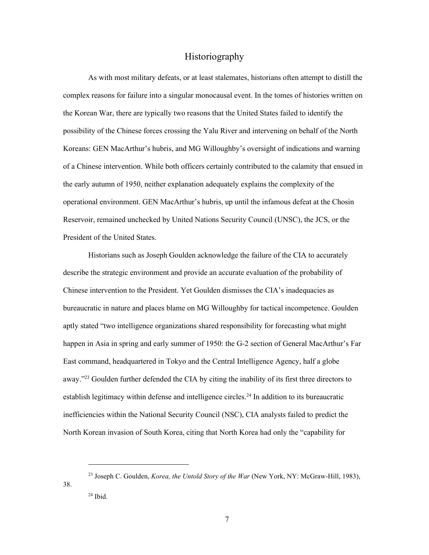## Historiography

As with most military defeats, or at least stalemates, historians often attempt to distill the complex reasons for failure into a singular monocausal event. In the tomes of histories written on the Korean War, there are typically two reasons that the United States failed to identify the possibility of the Chinese forces crossing the Yalu River and intervening on behalf of the North Koreans: GEN MacArthur's hubris, and MG Willoughby's oversight of indications and warning of a Chinese intervention. While both officers certainly contributed to the calamity that ensued in the early autumn of 1950, neither explanation adequately explains the complexity of the operational environment. GEN MacArthur's hubris, up until the infamous defeat at the Chosin Reservoir, remained unchecked by United Nations Security Council (UNSC), the JCS, or the President of the United States.

Historians such as Joseph Goulden acknowledge the failure of the CIA to accurately describe the strategic environment and provide an accurate evaluation of the probability of Chinese intervention to the President. Yet Goulden dismisses the CIA's inadequacies as bureaucratic in nature and places blame on MG Willoughby for tactical incompetence. Goulden aptly stated "two intelligence organizations shared responsibility for forecasting what might happen in Asia in spring and early summer of 1950: the G-2 section of General MacArthur's Far East command, headquartered in Tokyo and the Central Intelligence Agency, half a globe away."<sup>23</sup> Goulden further defended the CIA by citing the inability of its first three directors to establish legitimacy within defense and intelligence circles.<sup>24</sup> In addition to its bureaucratic inefficiencies within the National Security Council (NSC), CIA analysts failed to predict the North Korean invasion of South Korea, citing that North Korea had only the "capability for

<sup>23</sup> Joseph C. Goulden, *Korea, the Untold Story of the War* (New York, NY: McGraw-Hill, 1983),  $24$  Ibid.

38.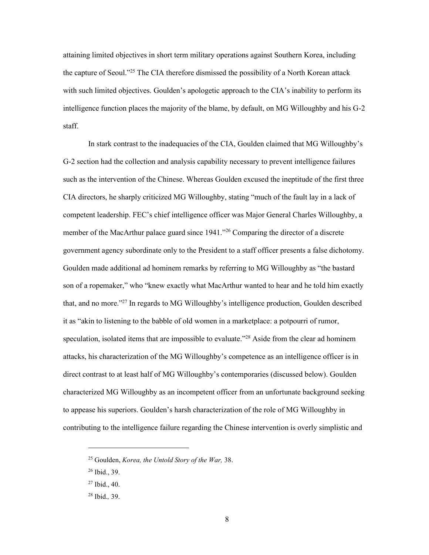attaining limited objectives in short term military operations against Southern Korea, including the capture of Seoul."<sup>25</sup> The CIA therefore dismissed the possibility of a North Korean attack with such limited objectives. Goulden's apologetic approach to the CIA's inability to perform its intelligence function places the majority of the blame, by default, on MG Willoughby and his G-2 staff.

In stark contrast to the inadequacies of the CIA, Goulden claimed that MG Willoughby's G-2 section had the collection and analysis capability necessary to prevent intelligence failures such as the intervention of the Chinese. Whereas Goulden excused the ineptitude of the first three CIA directors, he sharply criticized MG Willoughby, stating "much of the fault lay in a lack of competent leadership. FEC's chief intelligence officer was Major General Charles Willoughby, a member of the MacArthur palace guard since 1941."<sup>26</sup> Comparing the director of a discrete government agency subordinate only to the President to a staff officer presents a false dichotomy. Goulden made additional ad hominem remarks by referring to MG Willoughby as "the bastard son of a ropemaker," who "knew exactly what MacArthur wanted to hear and he told him exactly that, and no more."<sup>27</sup> In regards to MG Willoughby's intelligence production, Goulden described it as "akin to listening to the babble of old women in a marketplace: a potpourri of rumor, speculation, isolated items that are impossible to evaluate."<sup>28</sup> Aside from the clear ad hominem attacks, his characterization of the MG Willoughby's competence as an intelligence officer is in direct contrast to at least half of MG Willoughby's contemporaries (discussed below). Goulden characterized MG Willoughby as an incompetent officer from an unfortunate background seeking to appease his superiors. Goulden's harsh characterization of the role of MG Willoughby in contributing to the intelligence failure regarding the Chinese intervention is overly simplistic and

<sup>25</sup> Goulden, *Korea, the Untold Story of the War,* 38.

<sup>26</sup> Ibid., 39.

<sup>27</sup> Ibid., 40.

<sup>28</sup> Ibid.*,* 39.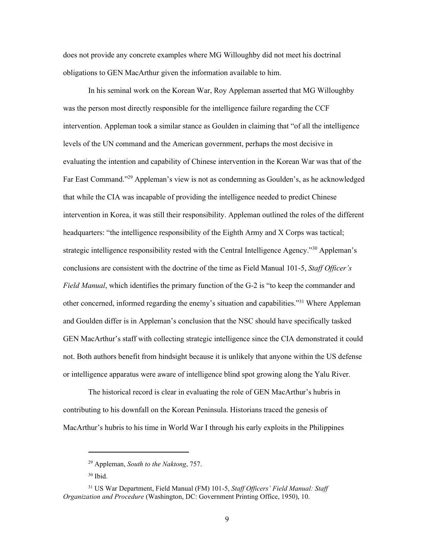does not provide any concrete examples where MG Willoughby did not meet his doctrinal obligations to GEN MacArthur given the information available to him.

In his seminal work on the Korean War, Roy Appleman asserted that MG Willoughby was the person most directly responsible for the intelligence failure regarding the CCF intervention. Appleman took a similar stance as Goulden in claiming that "of all the intelligence levels of the UN command and the American government, perhaps the most decisive in evaluating the intention and capability of Chinese intervention in the Korean War was that of the Far East Command."<sup>29</sup> Appleman's view is not as condemning as Goulden's, as he acknowledged that while the CIA was incapable of providing the intelligence needed to predict Chinese intervention in Korea, it was still their responsibility. Appleman outlined the roles of the different headquarters: "the intelligence responsibility of the Eighth Army and X Corps was tactical; strategic intelligence responsibility rested with the Central Intelligence Agency."<sup>30</sup> Appleman's conclusions are consistent with the doctrine of the time as Field Manual 101-5, *Staff Officer's Field Manual*, which identifies the primary function of the G-2 is "to keep the commander and other concerned, informed regarding the enemy's situation and capabilities."<sup>31</sup> Where Appleman and Goulden differ is in Appleman's conclusion that the NSC should have specifically tasked GEN MacArthur's staff with collecting strategic intelligence since the CIA demonstrated it could not. Both authors benefit from hindsight because it is unlikely that anyone within the US defense or intelligence apparatus were aware of intelligence blind spot growing along the Yalu River.

The historical record is clear in evaluating the role of GEN MacArthur's hubris in contributing to his downfall on the Korean Peninsula. Historians traced the genesis of MacArthur's hubris to his time in World War I through his early exploits in the Philippines

<sup>29</sup> Appleman, *South to the Naktong*, 757.

 $30$  Ibid.

<sup>31</sup> US War Department, Field Manual (FM) 101-5, *Staff Officers' Field Manual: Staff Organization and Procedure* (Washington, DC: Government Printing Office, 1950), 10.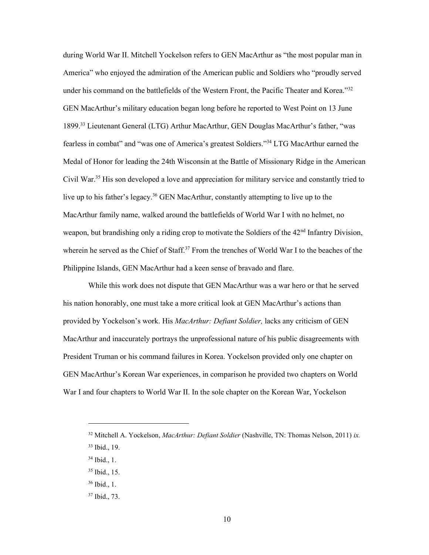during World War II. Mitchell Yockelson refers to GEN MacArthur as "the most popular man in America" who enjoyed the admiration of the American public and Soldiers who "proudly served under his command on the battlefields of the Western Front, the Pacific Theater and Korea." $32$ GEN MacArthur's military education began long before he reported to West Point on 13 June 1899.<sup>33</sup> Lieutenant General (LTG) Arthur MacArthur, GEN Douglas MacArthur's father, "was fearless in combat" and "was one of America's greatest Soldiers."<sup>34</sup> LTG MacArthur earned the Medal of Honor for leading the 24th Wisconsin at the Battle of Missionary Ridge in the American Civil War.<sup>35</sup> His son developed a love and appreciation for military service and constantly tried to live up to his father's legacy.<sup>36</sup> GEN MacArthur, constantly attempting to live up to the MacArthur family name, walked around the battlefields of World War I with no helmet, no weapon, but brandishing only a riding crop to motivate the Soldiers of the 42<sup>nd</sup> Infantry Division, wherein he served as the Chief of Staff.<sup>37</sup> From the trenches of World War I to the beaches of the Philippine Islands, GEN MacArthur had a keen sense of bravado and flare.

While this work does not dispute that GEN MacArthur was a war hero or that he served his nation honorably, one must take a more critical look at GEN MacArthur's actions than provided by Yockelson's work. His *MacArthur: Defiant Soldier,* lacks any criticism of GEN MacArthur and inaccurately portrays the unprofessional nature of his public disagreements with President Truman or his command failures in Korea. Yockelson provided only one chapter on GEN MacArthur's Korean War experiences, in comparison he provided two chapters on World War I and four chapters to World War II. In the sole chapter on the Korean War, Yockelson

<sup>32</sup> Mitchell A. Yockelson, *MacArthur: Defiant Soldier* (Nashville, TN: Thomas Nelson, 2011) *ix.*

<sup>33</sup> Ibid., 19.

<sup>34</sup> Ibid., 1.

<sup>35</sup> Ibid., 15.

<sup>36</sup> Ibid., 1.

<sup>37</sup> Ibid., 73.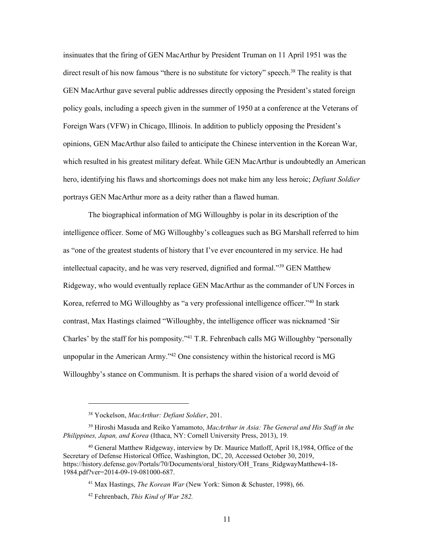insinuates that the firing of GEN MacArthur by President Truman on 11 April 1951 was the direct result of his now famous "there is no substitute for victory" speech.<sup>38</sup> The reality is that GEN MacArthur gave several public addresses directly opposing the President's stated foreign policy goals, including a speech given in the summer of 1950 at a conference at the Veterans of Foreign Wars (VFW) in Chicago, Illinois. In addition to publicly opposing the President's opinions, GEN MacArthur also failed to anticipate the Chinese intervention in the Korean War, which resulted in his greatest military defeat. While GEN MacArthur is undoubtedly an American hero, identifying his flaws and shortcomings does not make him any less heroic; *Defiant Soldier* portrays GEN MacArthur more as a deity rather than a flawed human.

The biographical information of MG Willoughby is polar in its description of the intelligence officer. Some of MG Willoughby's colleagues such as BG Marshall referred to him as "one of the greatest students of history that I've ever encountered in my service. He had intellectual capacity, and he was very reserved, dignified and formal."<sup>39</sup> GEN Matthew Ridgeway, who would eventually replace GEN MacArthur as the commander of UN Forces in Korea, referred to MG Willoughby as "a very professional intelligence officer."<sup>40</sup> In stark contrast, Max Hastings claimed "Willoughby, the intelligence officer was nicknamed 'Sir Charles' by the staff for his pomposity."<sup>41</sup> T.R. Fehrenbach calls MG Willoughby "personally unpopular in the American Army.<sup> $342$ </sup> One consistency within the historical record is MG Willoughby's stance on Communism. It is perhaps the shared vision of a world devoid of

<sup>38</sup> Yockelson, *MacArthur: Defiant Soldier*, 201.

<sup>39</sup> Hiroshi Masuda and Reiko Yamamoto, *MacArthur in Asia: The General and His Staff in the Philippines, Japan, and Korea* (Ithaca, NY: Cornell University Press, 2013), 19*.*

<sup>40</sup> General Matthew Ridgeway, interview by Dr. Maurice Matloff, April 18,1984, Office of the Secretary of Defense Historical Office, Washington, DC, 20, Accessed October 30, 2019, [https://history.defense.gov/Portals/70/Documents/oral\\_history/OH\\_Trans\\_RidgwayMatthew4-18-](https://history.defense.gov/Portals/70/Documents/oral_history/OH_Trans_RidgwayMatthew4-18-1984.pdf?ver=2014-09-19-081000-687) [1984.pdf?ver=2014-09-19-081000-687.](https://history.defense.gov/Portals/70/Documents/oral_history/OH_Trans_RidgwayMatthew4-18-1984.pdf?ver=2014-09-19-081000-687)

<sup>41</sup> Max Hastings, *The Korean War* (New York: Simon & Schuster, 1998), 66*.*

<sup>42</sup> Fehrenbach, *This Kind of War 282.*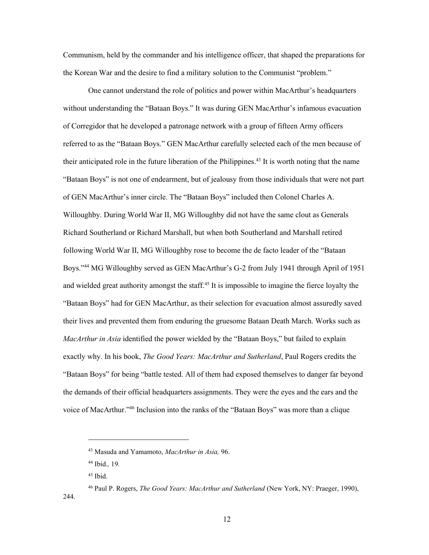Communism, held by the commander and his intelligence officer, that shaped the preparations for the Korean War and the desire to find a military solution to the Communist "problem."

One cannot understand the role of politics and power within MacArthur's headquarters without understanding the "Bataan Boys." It was during GEN MacArthur's infamous evacuation of Corregidor that he developed a patronage network with a group of fifteen Army officers referred to as the "Bataan Boys." GEN MacArthur carefully selected each of the men because of their anticipated role in the future liberation of the Philippines.<sup>43</sup> It is worth noting that the name "Bataan Boys" is not one of endearment, but of jealousy from those individuals that were not part of GEN MacArthur's inner circle. The "Bataan Boys" included then Colonel Charles A. Willoughby. During World War II, MG Willoughby did not have the same clout as Generals Richard Southerland or Richard Marshall, but when both Southerland and Marshall retired following World War II, MG Willoughby rose to become the de facto leader of the "Bataan Boys."<sup>44</sup> MG Willoughby served as GEN MacArthur's G-2 from July 1941 through April of 1951 and wielded great authority amongst the staff.<sup>45</sup> It is impossible to imagine the fierce loyalty the "Bataan Boys" had for GEN MacArthur, as their selection for evacuation almost assuredly saved their lives and prevented them from enduring the gruesome Bataan Death March. Works such as *MacArthur in Asia* identified the power wielded by the "Bataan Boys," but failed to explain exactly why. In his book, *The Good Years: MacArthur and Sutherland*, Paul Rogers credits the "Bataan Boys" for being "battle tested. All of them had exposed themselves to danger far beyond the demands of their official headquarters assignments. They were the eyes and the ears and the voice of MacArthur."<sup>46</sup> Inclusion into the ranks of the "Bataan Boys" was more than a clique

244.

<sup>43</sup> Masuda and Yamamoto, *MacArthur in Asia,* 96.

<sup>44</sup> Ibid.*,* 19*.*

 $45$  Ibid.

<sup>46</sup> Paul P. Rogers, *The Good Years: MacArthur and Sutherland* (New York, NY: Praeger, 1990),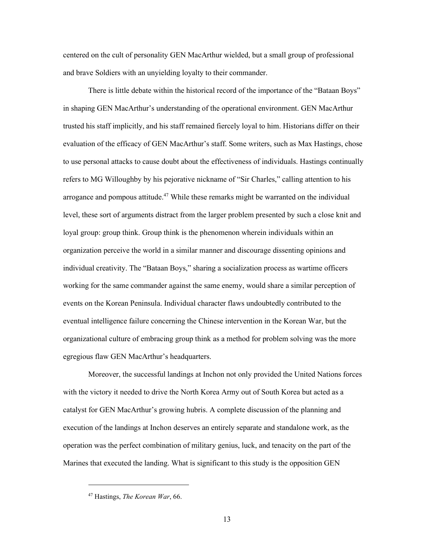centered on the cult of personality GEN MacArthur wielded, but a small group of professional and brave Soldiers with an unyielding loyalty to their commander.

There is little debate within the historical record of the importance of the "Bataan Boys" in shaping GEN MacArthur's understanding of the operational environment. GEN MacArthur trusted his staff implicitly, and his staff remained fiercely loyal to him. Historians differ on their evaluation of the efficacy of GEN MacArthur's staff. Some writers, such as Max Hastings, chose to use personal attacks to cause doubt about the effectiveness of individuals. Hastings continually refers to MG Willoughby by his pejorative nickname of "Sir Charles," calling attention to his arrogance and pompous attitude.<sup>47</sup> While these remarks might be warranted on the individual level, these sort of arguments distract from the larger problem presented by such a close knit and loyal group: group think. Group think is the phenomenon wherein individuals within an organization perceive the world in a similar manner and discourage dissenting opinions and individual creativity. The "Bataan Boys," sharing a socialization process as wartime officers working for the same commander against the same enemy, would share a similar perception of events on the Korean Peninsula. Individual character flaws undoubtedly contributed to the eventual intelligence failure concerning the Chinese intervention in the Korean War, but the organizational culture of embracing group think as a method for problem solving was the more egregious flaw GEN MacArthur's headquarters.

Moreover, the successful landings at Inchon not only provided the United Nations forces with the victory it needed to drive the North Korea Army out of South Korea but acted as a catalyst for GEN MacArthur's growing hubris. A complete discussion of the planning and execution of the landings at Inchon deserves an entirely separate and standalone work, as the operation was the perfect combination of military genius, luck, and tenacity on the part of the Marines that executed the landing. What is significant to this study is the opposition GEN

<sup>47</sup> Hastings, *The Korean War*, 66.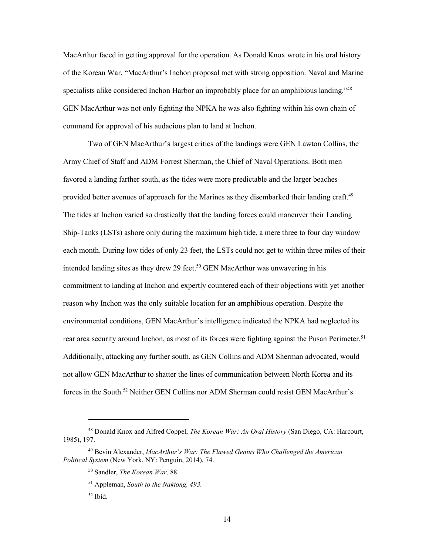MacArthur faced in getting approval for the operation. As Donald Knox wrote in his oral history of the Korean War, "MacArthur's Inchon proposal met with strong opposition. Naval and Marine specialists alike considered Inchon Harbor an improbably place for an amphibious landing." <sup>48</sup> GEN MacArthur was not only fighting the NPKA he was also fighting within his own chain of command for approval of his audacious plan to land at Inchon.

Two of GEN MacArthur's largest critics of the landings were GEN Lawton Collins, the Army Chief of Staff and ADM Forrest Sherman, the Chief of Naval Operations. Both men favored a landing farther south, as the tides were more predictable and the larger beaches provided better avenues of approach for the Marines as they disembarked their landing craft.<sup>49</sup> The tides at Inchon varied so drastically that the landing forces could maneuver their Landing Ship-Tanks (LSTs) ashore only during the maximum high tide, a mere three to four day window each month. During low tides of only 23 feet, the LSTs could not get to within three miles of their intended landing sites as they drew 29 feet. <sup>50</sup> GEN MacArthur was unwavering in his commitment to landing at Inchon and expertly countered each of their objections with yet another reason why Inchon was the only suitable location for an amphibious operation. Despite the environmental conditions, GEN MacArthur's intelligence indicated the NPKA had neglected its rear area security around Inchon, as most of its forces were fighting against the Pusan Perimeter.<sup>51</sup> Additionally, attacking any further south, as GEN Collins and ADM Sherman advocated, would not allow GEN MacArthur to shatter the lines of communication between North Korea and its forces in the South.<sup>52</sup> Neither GEN Collins nor ADM Sherman could resist GEN MacArthur's

<sup>48</sup> Donald Knox and Alfred Coppel, *The Korean War: An Oral History* (San Diego, CA: Harcourt, 1985), 197.

<sup>49</sup> Bevin Alexander, *MacArthur's War: The Flawed Genius Who Challenged the American Political System* (New York, NY: Penguin, 2014), 74.

<sup>50</sup> Sandler, *The Korean War,* 88.

<sup>51</sup> Appleman, *South to the Naktong, 493.*

 $52$  Ibid.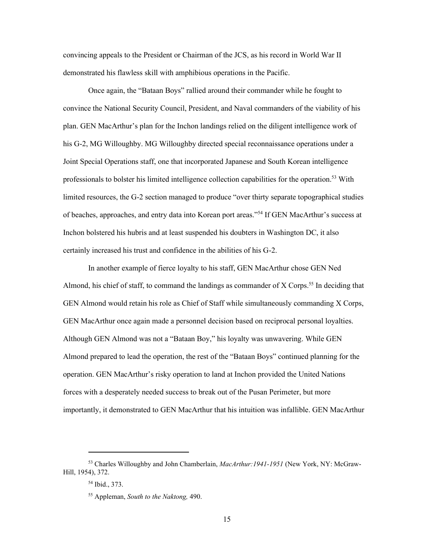convincing appeals to the President or Chairman of the JCS, as his record in World War II demonstrated his flawless skill with amphibious operations in the Pacific.

Once again, the "Bataan Boys" rallied around their commander while he fought to convince the National Security Council, President, and Naval commanders of the viability of his plan. GEN MacArthur's plan for the Inchon landings relied on the diligent intelligence work of his G-2, MG Willoughby. MG Willoughby directed special reconnaissance operations under a Joint Special Operations staff, one that incorporated Japanese and South Korean intelligence professionals to bolster his limited intelligence collection capabilities for the operation.<sup>53</sup> With limited resources, the G-2 section managed to produce "over thirty separate topographical studies of beaches, approaches, and entry data into Korean port areas."<sup>54</sup> If GEN MacArthur's success at Inchon bolstered his hubris and at least suspended his doubters in Washington DC, it also certainly increased his trust and confidence in the abilities of his G-2.

In another example of fierce loyalty to his staff, GEN MacArthur chose GEN Ned Almond, his chief of staff, to command the landings as commander of  $X$  Corps.<sup>55</sup> In deciding that GEN Almond would retain his role as Chief of Staff while simultaneously commanding X Corps, GEN MacArthur once again made a personnel decision based on reciprocal personal loyalties. Although GEN Almond was not a "Bataan Boy," his loyalty was unwavering. While GEN Almond prepared to lead the operation, the rest of the "Bataan Boys" continued planning for the operation. GEN MacArthur's risky operation to land at Inchon provided the United Nations forces with a desperately needed success to break out of the Pusan Perimeter, but more importantly, it demonstrated to GEN MacArthur that his intuition was infallible. GEN MacArthur

<sup>53</sup> Charles Willoughby and John Chamberlain, *MacArthur:1941-1951* (New York, NY: McGraw-Hill, 1954), 372.

<sup>54</sup> Ibid., 373.

<sup>55</sup> Appleman, *South to the Naktong,* 490.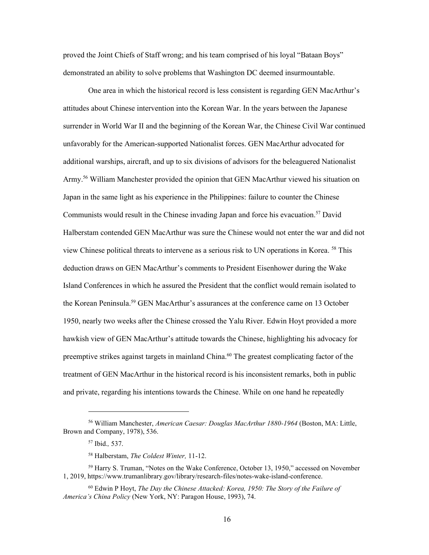proved the Joint Chiefs of Staff wrong; and his team comprised of his loyal "Bataan Boys" demonstrated an ability to solve problems that Washington DC deemed insurmountable.

One area in which the historical record is less consistent is regarding GEN MacArthur's attitudes about Chinese intervention into the Korean War. In the years between the Japanese surrender in World War II and the beginning of the Korean War, the Chinese Civil War continued unfavorably for the American-supported Nationalist forces. GEN MacArthur advocated for additional warships, aircraft, and up to six divisions of advisors for the beleaguered Nationalist Army.<sup>56</sup> William Manchester provided the opinion that GEN MacArthur viewed his situation on Japan in the same light as his experience in the Philippines: failure to counter the Chinese Communists would result in the Chinese invading Japan and force his evacuation. <sup>57</sup> David Halberstam contended GEN MacArthur was sure the Chinese would not enter the war and did not view Chinese political threats to intervene as a serious risk to UN operations in Korea. <sup>58</sup> This deduction draws on GEN MacArthur's comments to President Eisenhower during the Wake Island Conferences in which he assured the President that the conflict would remain isolated to the Korean Peninsula.<sup>59</sup> GEN MacArthur's assurances at the conference came on 13 October 1950, nearly two weeks after the Chinese crossed the Yalu River. Edwin Hoyt provided a more hawkish view of GEN MacArthur's attitude towards the Chinese, highlighting his advocacy for preemptive strikes against targets in mainland China.<sup>60</sup> The greatest complicating factor of the treatment of GEN MacArthur in the historical record is his inconsistent remarks, both in public and private, regarding his intentions towards the Chinese. While on one hand he repeatedly

<sup>56</sup> William Manchester, *American Caesar: Douglas MacArthur 1880-1964* (Boston, MA: Little, Brown and Company, 1978), 536.

<sup>57</sup> Ibid.*,* 537.

<sup>58</sup> Halberstam, *The Coldest Winter,* 11-12.

<sup>59</sup> Harry S. Truman, "Notes on the Wake Conference, October 13, 1950," accessed on November 1, 2019, https://www.trumanlibrary.gov/library/research-files/notes-wake-island-conference.

<sup>60</sup> Edwin P Hoyt, *The Day the Chinese Attacked: Korea, 1950: The Story of the Failure of America's China Policy* (New York, NY: Paragon House, 1993), 74.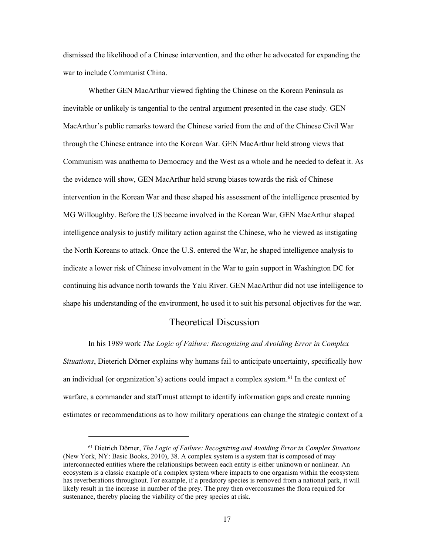dismissed the likelihood of a Chinese intervention, and the other he advocated for expanding the war to include Communist China.

Whether GEN MacArthur viewed fighting the Chinese on the Korean Peninsula as inevitable or unlikely is tangential to the central argument presented in the case study. GEN MacArthur's public remarks toward the Chinese varied from the end of the Chinese Civil War through the Chinese entrance into the Korean War. GEN MacArthur held strong views that Communism was anathema to Democracy and the West as a whole and he needed to defeat it. As the evidence will show, GEN MacArthur held strong biases towards the risk of Chinese intervention in the Korean War and these shaped his assessment of the intelligence presented by MG Willoughby. Before the US became involved in the Korean War, GEN MacArthur shaped intelligence analysis to justify military action against the Chinese, who he viewed as instigating the North Koreans to attack. Once the U.S. entered the War, he shaped intelligence analysis to indicate a lower risk of Chinese involvement in the War to gain support in Washington DC for continuing his advance north towards the Yalu River. GEN MacArthur did not use intelligence to shape his understanding of the environment, he used it to suit his personal objectives for the war.

#### Theoretical Discussion

In his 1989 work *The Logic of Failure: Recognizing and Avoiding Error in Complex Situations*, Dieterich Dörner explains why humans fail to anticipate uncertainty, specifically how an individual (or organization's) actions could impact a complex system. <sup>61</sup> In the context of warfare, a commander and staff must attempt to identify information gaps and create running estimates or recommendations as to how military operations can change the strategic context of a

<sup>61</sup> Dietrich Dörner, *The Logic of Failure: Recognizing and Avoiding Error in Complex Situations* (New York, NY: Basic Books, 2010), 38. A complex system is a system that is composed of may interconnected entities where the relationships between each entity is either unknown or nonlinear. An ecosystem is a classic example of a complex system where impacts to one organism within the ecosystem has reverberations throughout. For example, if a predatory species is removed from a national park, it will likely result in the increase in number of the prey. The prey then overconsumes the flora required for sustenance, thereby placing the viability of the prey species at risk.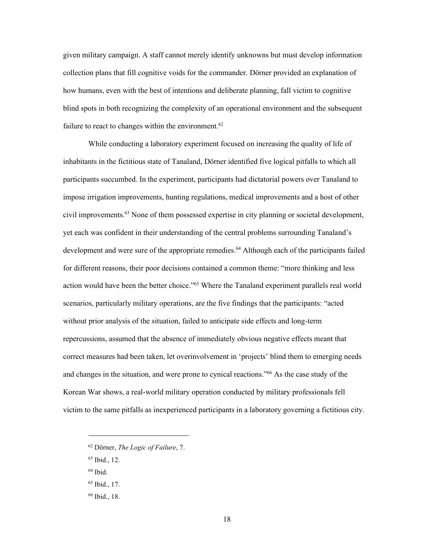given military campaign. A staff cannot merely identify unknowns but must develop information collection plans that fill cognitive voids for the commander. Dörner provided an explanation of how humans, even with the best of intentions and deliberate planning, fall victim to cognitive blind spots in both recognizing the complexity of an operational environment and the subsequent failure to react to changes within the environment.<sup>62</sup>

While conducting a laboratory experiment focused on increasing the quality of life of inhabitants in the fictitious state of Tanaland, Dörner identified five logical pitfalls to which all participants succumbed. In the experiment, participants had dictatorial powers over Tanaland to impose irrigation improvements, hunting regulations, medical improvements and a host of other civil improvements.<sup>63</sup> None of them possessed expertise in city planning or societal development, yet each was confident in their understanding of the central problems surrounding Tanaland's development and were sure of the appropriate remedies.<sup>64</sup> Although each of the participants failed for different reasons, their poor decisions contained a common theme: "more thinking and less action would have been the better choice."<sup>65</sup> Where the Tanaland experiment parallels real world scenarios, particularly military operations, are the five findings that the participants: "acted without prior analysis of the situation, failed to anticipate side effects and long-term repercussions, assumed that the absence of immediately obvious negative effects meant that correct measures had been taken, let overinvolvement in 'projects' blind them to emerging needs and changes in the situation, and were prone to cynical reactions."<sup>66</sup> As the case study of the Korean War shows, a real-world military operation conducted by military professionals fell victim to the same pitfalls as inexperienced participants in a laboratory governing a fictitious city.

<sup>62</sup> Dörner, *The Logic of Failure*, 7.

<sup>63</sup> Ibid., 12.

<sup>64</sup> Ibid.

<sup>65</sup> Ibid., 17.

<sup>66</sup> Ibid., 18.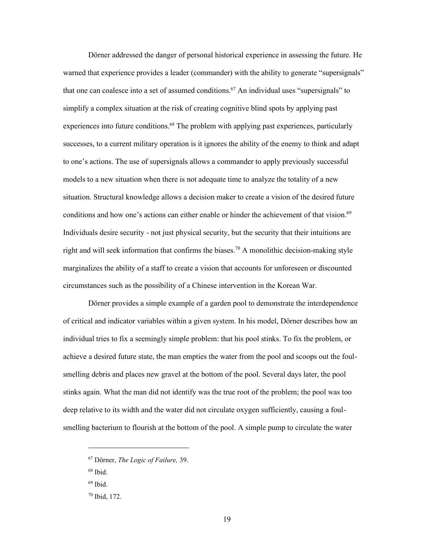Dörner addressed the danger of personal historical experience in assessing the future. He warned that experience provides a leader (commander) with the ability to generate "supersignals" that one can coalesce into a set of assumed conditions.<sup>67</sup> An individual uses "supersignals" to simplify a complex situation at the risk of creating cognitive blind spots by applying past experiences into future conditions.<sup>68</sup> The problem with applying past experiences, particularly successes, to a current military operation is it ignores the ability of the enemy to think and adapt to one's actions. The use of supersignals allows a commander to apply previously successful models to a new situation when there is not adequate time to analyze the totality of a new situation. Structural knowledge allows a decision maker to create a vision of the desired future conditions and how one's actions can either enable or hinder the achievement of that vision.<sup>69</sup> Individuals desire security - not just physical security, but the security that their intuitions are right and will seek information that confirms the biases.<sup>70</sup> A monolithic decision-making style marginalizes the ability of a staff to create a vision that accounts for unforeseen or discounted circumstances such as the possibility of a Chinese intervention in the Korean War.

Dörner provides a simple example of a garden pool to demonstrate the interdependence of critical and indicator variables within a given system. In his model, Dörner describes how an individual tries to fix a seemingly simple problem: that his pool stinks. To fix the problem, or achieve a desired future state, the man empties the water from the pool and scoops out the foulsmelling debris and places new gravel at the bottom of the pool. Several days later, the pool stinks again. What the man did not identify was the true root of the problem; the pool was too deep relative to its width and the water did not circulate oxygen sufficiently, causing a foulsmelling bacterium to flourish at the bottom of the pool. A simple pump to circulate the water

<sup>67</sup> Dörner, *The Logic of Failure,* 39.

<sup>68</sup> Ibid.

<sup>69</sup> Ibid.

<sup>70</sup> Ibid, 172.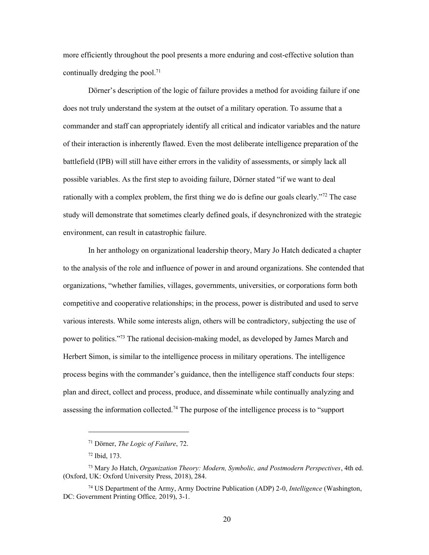more efficiently throughout the pool presents a more enduring and cost-effective solution than continually dredging the pool.<sup>71</sup>

Dörner's description of the logic of failure provides a method for avoiding failure if one does not truly understand the system at the outset of a military operation. To assume that a commander and staff can appropriately identify all critical and indicator variables and the nature of their interaction is inherently flawed. Even the most deliberate intelligence preparation of the battlefield (IPB) will still have either errors in the validity of assessments, or simply lack all possible variables. As the first step to avoiding failure, Dörner stated "if we want to deal rationally with a complex problem, the first thing we do is define our goals clearly."<sup>72</sup> The case study will demonstrate that sometimes clearly defined goals, if desynchronized with the strategic environment, can result in catastrophic failure.

In her anthology on organizational leadership theory, Mary Jo Hatch dedicated a chapter to the analysis of the role and influence of power in and around organizations. She contended that organizations, "whether families, villages, governments, universities, or corporations form both competitive and cooperative relationships; in the process, power is distributed and used to serve various interests. While some interests align, others will be contradictory, subjecting the use of power to politics."<sup>73</sup> The rational decision-making model, as developed by James March and Herbert Simon, is similar to the intelligence process in military operations. The intelligence process begins with the commander's guidance, then the intelligence staff conducts four steps: plan and direct, collect and process, produce, and disseminate while continually analyzing and assessing the information collected.<sup>74</sup> The purpose of the intelligence process is to "support"

<sup>71</sup> Dörner, *The Logic of Failure*, 72.

<sup>72</sup> Ibid, 173.

<sup>73</sup> Mary Jo Hatch, *Organization Theory: Modern, Symbolic, and Postmodern Perspectives*, 4th ed. (Oxford, UK: Oxford University Press, 2018), 284.

<sup>74</sup> US Department of the Army, Army Doctrine Publication (ADP) 2-0, *Intelligence* (Washington, DC: Government Printing Office*,* 2019), 3-1.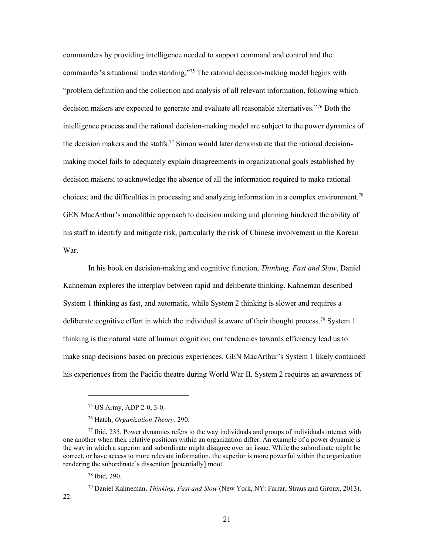commanders by providing intelligence needed to support command and control and the commander's situational understanding."<sup>75</sup> The rational decision-making model begins with "problem definition and the collection and analysis of all relevant information, following which decision makers are expected to generate and evaluate all reasonable alternatives."<sup>76</sup> Both the intelligence process and the rational decision-making model are subject to the power dynamics of the decision makers and the staffs.<sup>77</sup> Simon would later demonstrate that the rational decisionmaking model fails to adequately explain disagreements in organizational goals established by decision makers; to acknowledge the absence of all the information required to make rational choices; and the difficulties in processing and analyzing information in a complex environment.<sup>78</sup> GEN MacArthur's monolithic approach to decision making and planning hindered the ability of his staff to identify and mitigate risk, particularly the risk of Chinese involvement in the Korean War.

In his book on decision-making and cognitive function, *Thinking, Fast and Slow*, Daniel Kahneman explores the interplay between rapid and deliberate thinking. Kahneman described System 1 thinking as fast, and automatic, while System 2 thinking is slower and requires a deliberate cognitive effort in which the individual is aware of their thought process.<sup>79</sup> System 1 thinking is the natural state of human cognition; our tendencies towards efficiency lead us to make snap decisions based on precious experiences. GEN MacArthur's System 1 likely contained his experiences from the Pacific theatre during World War II. System 2 requires an awareness of

<sup>78</sup> Ibid*,* 290.

22.

<sup>79</sup> Daniel Kahneman, *Thinking, Fast and Slow* (New York, NY: Farrar, Straus and Giroux, 2013),

<sup>75</sup> US Army, ADP 2-0, 3-0.

<sup>76</sup> Hatch, *Organization Theory,* 290.

 $77$  Ibid, 235. Power dynamics refers to the way individuals and groups of individuals interact with one another when their relative positions within an organization differ. An example of a power dynamic is the way in which a superior and subordinate might disagree over an issue. While the subordinate might be correct, or have access to more relevant information, the superior is more powerful within the organization rendering the subordinate's dissention [potentially] moot.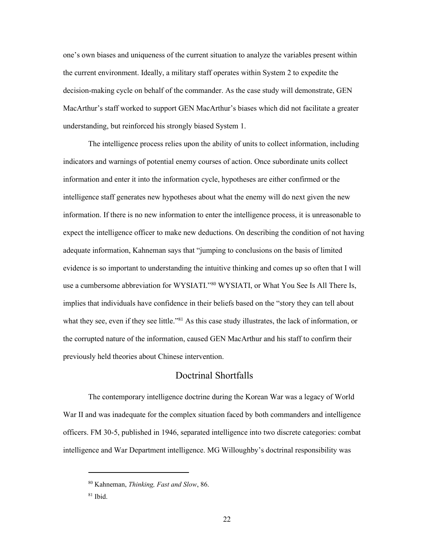one's own biases and uniqueness of the current situation to analyze the variables present within the current environment. Ideally, a military staff operates within System 2 to expedite the decision-making cycle on behalf of the commander. As the case study will demonstrate, GEN MacArthur's staff worked to support GEN MacArthur's biases which did not facilitate a greater understanding, but reinforced his strongly biased System 1.

The intelligence process relies upon the ability of units to collect information, including indicators and warnings of potential enemy courses of action. Once subordinate units collect information and enter it into the information cycle, hypotheses are either confirmed or the intelligence staff generates new hypotheses about what the enemy will do next given the new information. If there is no new information to enter the intelligence process, it is unreasonable to expect the intelligence officer to make new deductions. On describing the condition of not having adequate information, Kahneman says that "jumping to conclusions on the basis of limited evidence is so important to understanding the intuitive thinking and comes up so often that I will use a cumbersome abbreviation for WYSIATI."<sup>80</sup> WYSIATI, or What You See Is All There Is, implies that individuals have confidence in their beliefs based on the "story they can tell about what they see, even if they see little."<sup>81</sup> As this case study illustrates, the lack of information, or the corrupted nature of the information, caused GEN MacArthur and his staff to confirm their previously held theories about Chinese intervention.

## Doctrinal Shortfalls

The contemporary intelligence doctrine during the Korean War was a legacy of World War II and was inadequate for the complex situation faced by both commanders and intelligence officers. FM 30-5, published in 1946, separated intelligence into two discrete categories: combat intelligence and War Department intelligence. MG Willoughby's doctrinal responsibility was

<sup>80</sup> Kahneman, *Thinking, Fast and Slow*, 86.

 $81$  Ibid.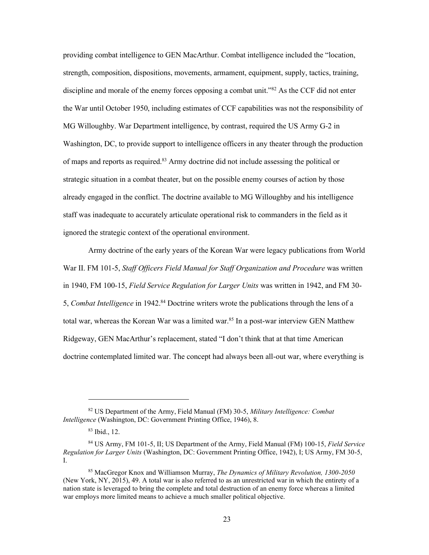providing combat intelligence to GEN MacArthur. Combat intelligence included the "location, strength, composition, dispositions, movements, armament, equipment, supply, tactics, training, discipline and morale of the enemy forces opposing a combat unit.<sup>82</sup> As the CCF did not enter the War until October 1950, including estimates of CCF capabilities was not the responsibility of MG Willoughby. War Department intelligence, by contrast, required the US Army G-2 in Washington, DC, to provide support to intelligence officers in any theater through the production of maps and reports as required.<sup>83</sup> Army doctrine did not include assessing the political or strategic situation in a combat theater, but on the possible enemy courses of action by those already engaged in the conflict. The doctrine available to MG Willoughby and his intelligence staff was inadequate to accurately articulate operational risk to commanders in the field as it ignored the strategic context of the operational environment.

Army doctrine of the early years of the Korean War were legacy publications from World War II. FM 101-5, *Staff Officers Field Manual for Staff Organization and Procedure* was written in 1940, FM 100-15, *Field Service Regulation for Larger Units* was written in 1942, and FM 30- 5, *Combat Intelligence* in 1942.<sup>84</sup> Doctrine writers wrote the publications through the lens of a total war, whereas the Korean War was a limited war.<sup>85</sup> In a post-war interview GEN Matthew Ridgeway, GEN MacArthur's replacement, stated "I don't think that at that time American doctrine contemplated limited war. The concept had always been all-out war, where everything is

<sup>82</sup> US Department of the Army, Field Manual (FM) 30-5, *Military Intelligence: Combat Intelligence* (Washington, DC: Government Printing Office, 1946), 8.

<sup>83</sup> Ibid., 12.

<sup>84</sup> US Army, FM 101-5, II; US Department of the Army, Field Manual (FM) 100-15, *Field Service Regulation for Larger Units* (Washington, DC: Government Printing Office, 1942), I; US Army, FM 30-5, I.

<sup>85</sup> MacGregor Knox and Williamson Murray, *The Dynamics of Military Revolution, 1300-2050* (New York, NY, 2015), 49. A total war is also referred to as an unrestricted war in which the entirety of a nation state is leveraged to bring the complete and total destruction of an enemy force whereas a limited war employs more limited means to achieve a much smaller political objective.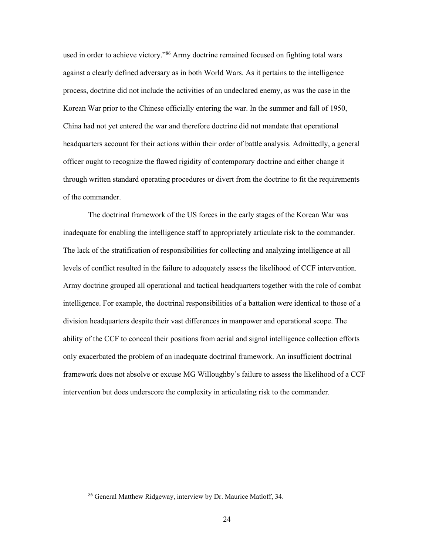used in order to achieve victory."<sup>86</sup> Army doctrine remained focused on fighting total wars against a clearly defined adversary as in both World Wars. As it pertains to the intelligence process, doctrine did not include the activities of an undeclared enemy, as was the case in the Korean War prior to the Chinese officially entering the war. In the summer and fall of 1950, China had not yet entered the war and therefore doctrine did not mandate that operational headquarters account for their actions within their order of battle analysis. Admittedly, a general officer ought to recognize the flawed rigidity of contemporary doctrine and either change it through written standard operating procedures or divert from the doctrine to fit the requirements of the commander.

The doctrinal framework of the US forces in the early stages of the Korean War was inadequate for enabling the intelligence staff to appropriately articulate risk to the commander. The lack of the stratification of responsibilities for collecting and analyzing intelligence at all levels of conflict resulted in the failure to adequately assess the likelihood of CCF intervention. Army doctrine grouped all operational and tactical headquarters together with the role of combat intelligence. For example, the doctrinal responsibilities of a battalion were identical to those of a division headquarters despite their vast differences in manpower and operational scope. The ability of the CCF to conceal their positions from aerial and signal intelligence collection efforts only exacerbated the problem of an inadequate doctrinal framework. An insufficient doctrinal framework does not absolve or excuse MG Willoughby's failure to assess the likelihood of a CCF intervention but does underscore the complexity in articulating risk to the commander.

<sup>86</sup> General Matthew Ridgeway, interview by Dr. Maurice Matloff, 34.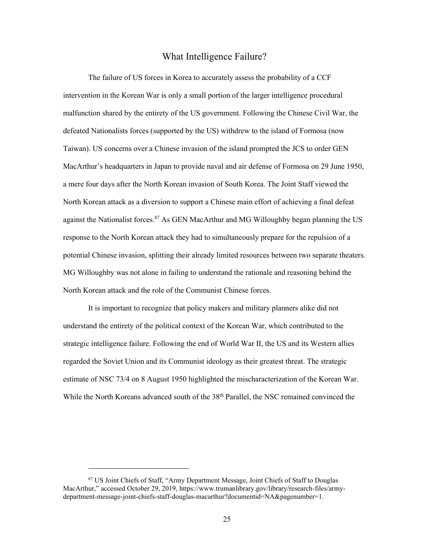#### What Intelligence Failure?

The failure of US forces in Korea to accurately assess the probability of a CCF intervention in the Korean War is only a small portion of the larger intelligence procedural malfunction shared by the entirety of the US government. Following the Chinese Civil War, the defeated Nationalists forces (supported by the US) withdrew to the island of Formosa (now Taiwan). US concerns over a Chinese invasion of the island prompted the JCS to order GEN MacArthur's headquarters in Japan to provide naval and air defense of Formosa on 29 June 1950, a mere four days after the North Korean invasion of South Korea. The Joint Staff viewed the North Korean attack as a diversion to support a Chinese main effort of achieving a final defeat against the Nationalist forces. $87$  As GEN MacArthur and MG Willoughby began planning the US response to the North Korean attack they had to simultaneously prepare for the repulsion of a potential Chinese invasion, splitting their already limited resources between two separate theaters. MG Willoughby was not alone in failing to understand the rationale and reasoning behind the North Korean attack and the role of the Communist Chinese forces.

It is important to recognize that policy makers and military planners alike did not understand the entirety of the political context of the Korean War, which contributed to the strategic intelligence failure. Following the end of World War II, the US and its Western allies regarded the Soviet Union and its Communist ideology as their greatest threat. The strategic estimate of NSC 73/4 on 8 August 1950 highlighted the mischaracterization of the Korean War. While the North Koreans advanced south of the 38<sup>th</sup> Parallel, the NSC remained convinced the

<sup>87</sup> US Joint Chiefs of Staff, "Army Department Message, Joint Chiefs of Staff to Douglas MacArthur," accessed October 29, 2019, https://www.trumanlibrary.gov/library/research-files/armydepartment-message-joint-chiefs-staff-douglas-macarthur?documentid=NA&pagenumber=1.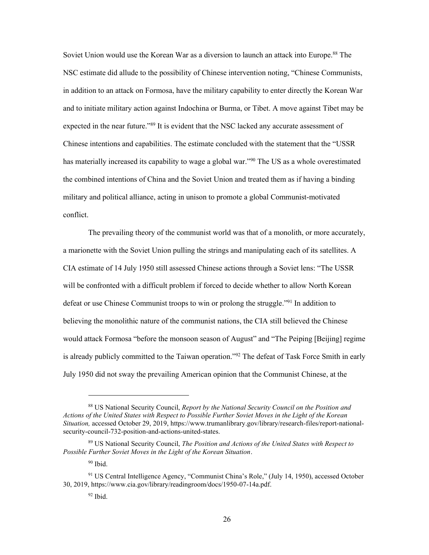Soviet Union would use the Korean War as a diversion to launch an attack into Europe.<sup>88</sup> The NSC estimate did allude to the possibility of Chinese intervention noting, "Chinese Communists, in addition to an attack on Formosa, have the military capability to enter directly the Korean War and to initiate military action against Indochina or Burma, or Tibet. A move against Tibet may be expected in the near future."<sup>89</sup> It is evident that the NSC lacked any accurate assessment of Chinese intentions and capabilities. The estimate concluded with the statement that the "USSR has materially increased its capability to wage a global war."<sup>90</sup> The US as a whole overestimated the combined intentions of China and the Soviet Union and treated them as if having a binding military and political alliance, acting in unison to promote a global Communist-motivated conflict.

The prevailing theory of the communist world was that of a monolith, or more accurately, a marionette with the Soviet Union pulling the strings and manipulating each of its satellites. A CIA estimate of 14 July 1950 still assessed Chinese actions through a Soviet lens: "The USSR will be confronted with a difficult problem if forced to decide whether to allow North Korean defeat or use Chinese Communist troops to win or prolong the struggle."<sup>91</sup> In addition to believing the monolithic nature of the communist nations, the CIA still believed the Chinese would attack Formosa "before the monsoon season of August" and "The Peiping [Beijing] regime is already publicly committed to the Taiwan operation."<sup>92</sup> The defeat of Task Force Smith in early July 1950 did not sway the prevailing American opinion that the Communist Chinese, at the

<sup>88</sup> US National Security Council, *Report by the National Security Council on the Position and Actions of the United States with Respect to Possible Further Soviet Moves in the Light of the Korean Situation,* accessed October 29, 2019, https://www.trumanlibrary.gov/library/research-files/report-nationalsecurity-council-732-position-and-actions-united-states.

<sup>89</sup> US National Security Council, *The Position and Actions of the United States with Respect to Possible Further Soviet Moves in the Light of the Korean Situation*.

 $90$  Ibid.

<sup>91</sup> US Central Intelligence Agency, "Communist China's Role," (July 14, 1950), accessed October 30, 2019, https://www.cia.gov/library/readingroom/docs/1950-07-14a.pdf.

 $92$  Ibid.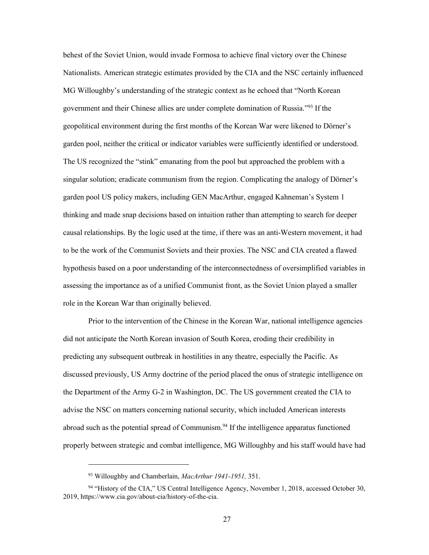behest of the Soviet Union, would invade Formosa to achieve final victory over the Chinese Nationalists. American strategic estimates provided by the CIA and the NSC certainly influenced MG Willoughby's understanding of the strategic context as he echoed that "North Korean government and their Chinese allies are under complete domination of Russia."<sup>93</sup> If the geopolitical environment during the first months of the Korean War were likened to Dörner's garden pool, neither the critical or indicator variables were sufficiently identified or understood. The US recognized the "stink" emanating from the pool but approached the problem with a singular solution; eradicate communism from the region. Complicating the analogy of Dörner's garden pool US policy makers, including GEN MacArthur, engaged Kahneman's System 1 thinking and made snap decisions based on intuition rather than attempting to search for deeper causal relationships. By the logic used at the time, if there was an anti-Western movement, it had to be the work of the Communist Soviets and their proxies. The NSC and CIA created a flawed hypothesis based on a poor understanding of the interconnectedness of oversimplified variables in assessing the importance as of a unified Communist front, as the Soviet Union played a smaller role in the Korean War than originally believed.

Prior to the intervention of the Chinese in the Korean War, national intelligence agencies did not anticipate the North Korean invasion of South Korea, eroding their credibility in predicting any subsequent outbreak in hostilities in any theatre, especially the Pacific. As discussed previously, US Army doctrine of the period placed the onus of strategic intelligence on the Department of the Army G-2 in Washington, DC. The US government created the CIA to advise the NSC on matters concerning national security, which included American interests abroad such as the potential spread of Communism.<sup>94</sup> If the intelligence apparatus functioned properly between strategic and combat intelligence, MG Willoughby and his staff would have had

<sup>93</sup> Willoughby and Chamberlain, *MacArthur 1941-1951,* 351.

<sup>94</sup> "History of the CIA," US Central Intelligence Agency, November 1, 2018, accessed October 30, 2019, https://www.cia.gov/about-cia/history-of-the-cia.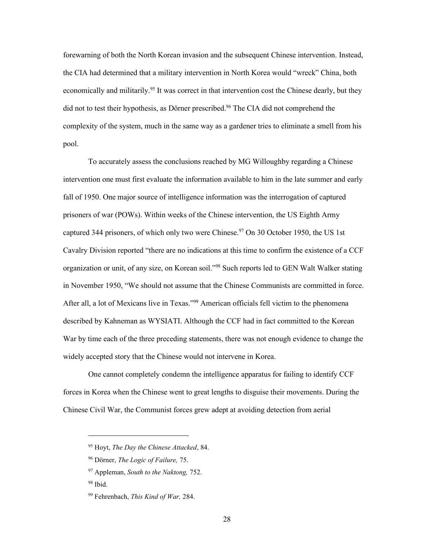forewarning of both the North Korean invasion and the subsequent Chinese intervention. Instead, the CIA had determined that a military intervention in North Korea would "wreck" China, both economically and militarily.<sup>95</sup> It was correct in that intervention cost the Chinese dearly, but they did not to test their hypothesis, as Dörner prescribed. <sup>96</sup> The CIA did not comprehend the complexity of the system, much in the same way as a gardener tries to eliminate a smell from his pool.

To accurately assess the conclusions reached by MG Willoughby regarding a Chinese intervention one must first evaluate the information available to him in the late summer and early fall of 1950. One major source of intelligence information was the interrogation of captured prisoners of war (POWs). Within weeks of the Chinese intervention, the US Eighth Army captured 344 prisoners, of which only two were Chinese.<sup>97</sup> On 30 October 1950, the US 1st Cavalry Division reported "there are no indications at this time to confirm the existence of a CCF organization or unit, of any size, on Korean soil."<sup>98</sup> Such reports led to GEN Walt Walker stating in November 1950, "We should not assume that the Chinese Communists are committed in force. After all, a lot of Mexicans live in Texas."<sup>99</sup> American officials fell victim to the phenomena described by Kahneman as WYSIATI. Although the CCF had in fact committed to the Korean War by time each of the three preceding statements, there was not enough evidence to change the widely accepted story that the Chinese would not intervene in Korea.

One cannot completely condemn the intelligence apparatus for failing to identify CCF forces in Korea when the Chinese went to great lengths to disguise their movements. During the Chinese Civil War, the Communist forces grew adept at avoiding detection from aerial

<sup>95</sup> Hoyt, *The Day the Chinese Attacked*, 84.

<sup>96</sup> Dörner, *The Logic of Failure,* 75.

<sup>97</sup> Appleman, *South to the Naktong,* 752.

<sup>98</sup> Ibid.

<sup>99</sup> Fehrenbach, *This Kind of War,* 284.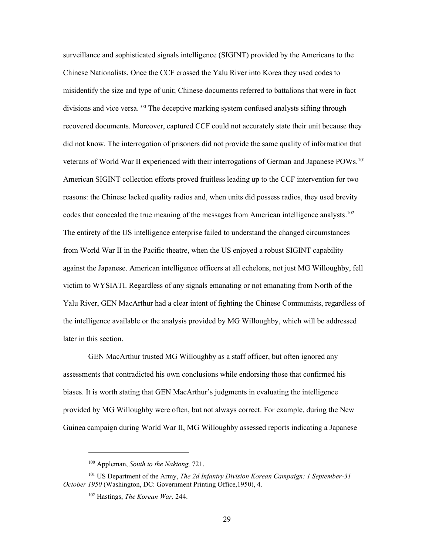surveillance and sophisticated signals intelligence (SIGINT) provided by the Americans to the Chinese Nationalists. Once the CCF crossed the Yalu River into Korea they used codes to misidentify the size and type of unit; Chinese documents referred to battalions that were in fact divisions and vice versa.<sup>100</sup> The deceptive marking system confused analysts sifting through recovered documents. Moreover, captured CCF could not accurately state their unit because they did not know. The interrogation of prisoners did not provide the same quality of information that veterans of World War II experienced with their interrogations of German and Japanese POWs.<sup>101</sup> American SIGINT collection efforts proved fruitless leading up to the CCF intervention for two reasons: the Chinese lacked quality radios and, when units did possess radios, they used brevity codes that concealed the true meaning of the messages from American intelligence analysts.<sup>102</sup> The entirety of the US intelligence enterprise failed to understand the changed circumstances from World War II in the Pacific theatre, when the US enjoyed a robust SIGINT capability against the Japanese. American intelligence officers at all echelons, not just MG Willoughby, fell victim to WYSIATI. Regardless of any signals emanating or not emanating from North of the Yalu River, GEN MacArthur had a clear intent of fighting the Chinese Communists, regardless of the intelligence available or the analysis provided by MG Willoughby, which will be addressed later in this section.

GEN MacArthur trusted MG Willoughby as a staff officer, but often ignored any assessments that contradicted his own conclusions while endorsing those that confirmed his biases. It is worth stating that GEN MacArthur's judgments in evaluating the intelligence provided by MG Willoughby were often, but not always correct. For example, during the New Guinea campaign during World War II, MG Willoughby assessed reports indicating a Japanese

<sup>100</sup> Appleman, *South to the Naktong,* 721.

<sup>101</sup> US Department of the Army, *The 2d Infantry Division Korean Campaign: 1 September-31 October 1950* (Washington, DC: Government Printing Office,1950), 4.

<sup>102</sup> Hastings, *The Korean War,* 244.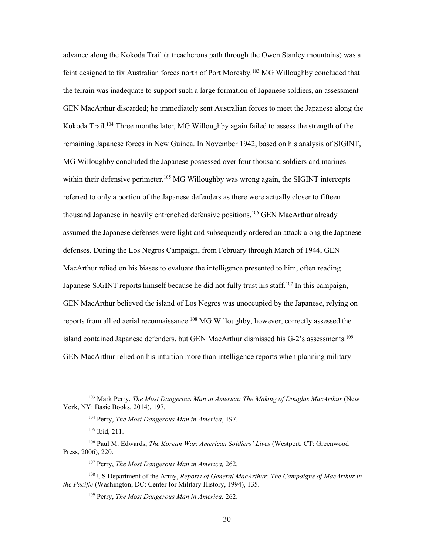advance along the Kokoda Trail (a treacherous path through the Owen Stanley mountains) was a feint designed to fix Australian forces north of Port Moresby.<sup>103</sup> MG Willoughby concluded that the terrain was inadequate to support such a large formation of Japanese soldiers, an assessment GEN MacArthur discarded; he immediately sent Australian forces to meet the Japanese along the Kokoda Trail.<sup>104</sup> Three months later, MG Willoughby again failed to assess the strength of the remaining Japanese forces in New Guinea. In November 1942, based on his analysis of SIGINT, MG Willoughby concluded the Japanese possessed over four thousand soldiers and marines within their defensive perimeter.<sup>105</sup> MG Willoughby was wrong again, the SIGINT intercepts referred to only a portion of the Japanese defenders as there were actually closer to fifteen thousand Japanese in heavily entrenched defensive positions.<sup>106</sup> GEN MacArthur already assumed the Japanese defenses were light and subsequently ordered an attack along the Japanese defenses. During the Los Negros Campaign, from February through March of 1944, GEN MacArthur relied on his biases to evaluate the intelligence presented to him, often reading Japanese SIGINT reports himself because he did not fully trust his staff.<sup>107</sup> In this campaign, GEN MacArthur believed the island of Los Negros was unoccupied by the Japanese, relying on reports from allied aerial reconnaissance.<sup>108</sup> MG Willoughby, however, correctly assessed the island contained Japanese defenders, but GEN MacArthur dismissed his G-2's assessments.<sup>109</sup> GEN MacArthur relied on his intuition more than intelligence reports when planning military

<sup>103</sup> Mark Perry, *The Most Dangerous Man in America: The Making of Douglas MacArthur* (New York, NY: Basic Books, 2014), 197.

<sup>104</sup> Perry, *The Most Dangerous Man in America*, 197.

<sup>105</sup> Ibid, 211.

<sup>106</sup> Paul M. Edwards, *The Korean War*: *American Soldiers' Lives* (Westport, CT: Greenwood Press, 2006), 220.

<sup>107</sup> Perry, *The Most Dangerous Man in America,* 262.

<sup>108</sup> US Department of the Army, *Reports of General MacArthur: The Campaigns of MacArthur in the Pacific* (Washington, DC: Center for Military History, 1994), 135.

<sup>109</sup> Perry, *The Most Dangerous Man in America,* 262.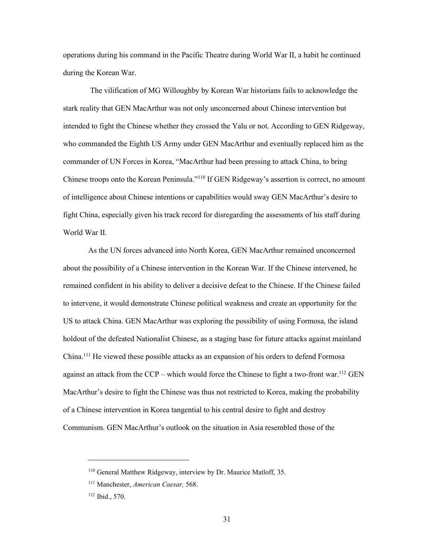operations during his command in the Pacific Theatre during World War II, a habit he continued during the Korean War.

The vilification of MG Willoughby by Korean War historians fails to acknowledge the stark reality that GEN MacArthur was not only unconcerned about Chinese intervention but intended to fight the Chinese whether they crossed the Yalu or not. According to GEN Ridgeway, who commanded the Eighth US Army under GEN MacArthur and eventually replaced him as the commander of UN Forces in Korea, "MacArthur had been pressing to attack China, to bring Chinese troops onto the Korean Peninsula."<sup>110</sup> If GEN Ridgeway's assertion is correct, no amount of intelligence about Chinese intentions or capabilities would sway GEN MacArthur's desire to fight China, especially given his track record for disregarding the assessments of his staff during World War II.

As the UN forces advanced into North Korea, GEN MacArthur remained unconcerned about the possibility of a Chinese intervention in the Korean War. If the Chinese intervened, he remained confident in his ability to deliver a decisive defeat to the Chinese. If the Chinese failed to intervene, it would demonstrate Chinese political weakness and create an opportunity for the US to attack China. GEN MacArthur was exploring the possibility of using Formosa, the island holdout of the defeated Nationalist Chinese, as a staging base for future attacks against mainland China.<sup>111</sup> He viewed these possible attacks as an expansion of his orders to defend Formosa against an attack from the CCP – which would force the Chinese to fight a two-front war.<sup>112</sup> GEN MacArthur's desire to fight the Chinese was thus not restricted to Korea, making the probability of a Chinese intervention in Korea tangential to his central desire to fight and destroy Communism. GEN MacArthur's outlook on the situation in Asia resembled those of the

<sup>110</sup> General Matthew Ridgeway, interview by Dr. Maurice Matloff, 35.

<sup>111</sup> Manchester, *American Caesar,* 568.

<sup>112</sup> Ibid., 570.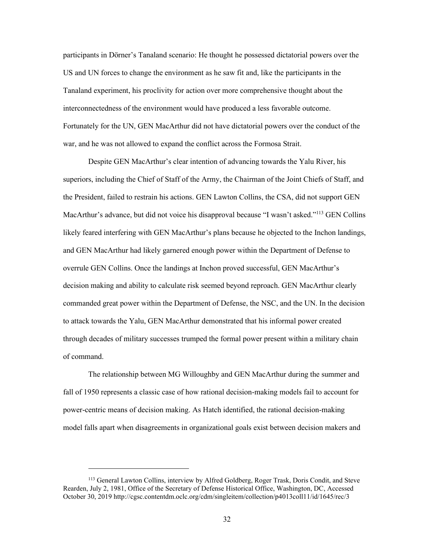participants in Dörner's Tanaland scenario: He thought he possessed dictatorial powers over the US and UN forces to change the environment as he saw fit and, like the participants in the Tanaland experiment, his proclivity for action over more comprehensive thought about the interconnectedness of the environment would have produced a less favorable outcome. Fortunately for the UN, GEN MacArthur did not have dictatorial powers over the conduct of the war, and he was not allowed to expand the conflict across the Formosa Strait.

Despite GEN MacArthur's clear intention of advancing towards the Yalu River, his superiors, including the Chief of Staff of the Army, the Chairman of the Joint Chiefs of Staff, and the President, failed to restrain his actions. GEN Lawton Collins, the CSA, did not support GEN MacArthur's advance, but did not voice his disapproval because "I wasn't asked."<sup>113</sup> GEN Collins likely feared interfering with GEN MacArthur's plans because he objected to the Inchon landings, and GEN MacArthur had likely garnered enough power within the Department of Defense to overrule GEN Collins. Once the landings at Inchon proved successful, GEN MacArthur's decision making and ability to calculate risk seemed beyond reproach. GEN MacArthur clearly commanded great power within the Department of Defense, the NSC, and the UN. In the decision to attack towards the Yalu, GEN MacArthur demonstrated that his informal power created through decades of military successes trumped the formal power present within a military chain of command.

The relationship between MG Willoughby and GEN MacArthur during the summer and fall of 1950 represents a classic case of how rational decision-making models fail to account for power-centric means of decision making. As Hatch identified, the rational decision-making model falls apart when disagreements in organizational goals exist between decision makers and

<sup>113</sup> General Lawton Collins, interview by Alfred Goldberg, Roger Trask, Doris Condit, and Steve Rearden, July 2, 1981, Office of the Secretary of Defense Historical Office, Washington, DC, Accessed October 30, 2019 <http://cgsc.contentdm.oclc.org/cdm/singleitem/collection/p4013coll11/id/1645/rec/3>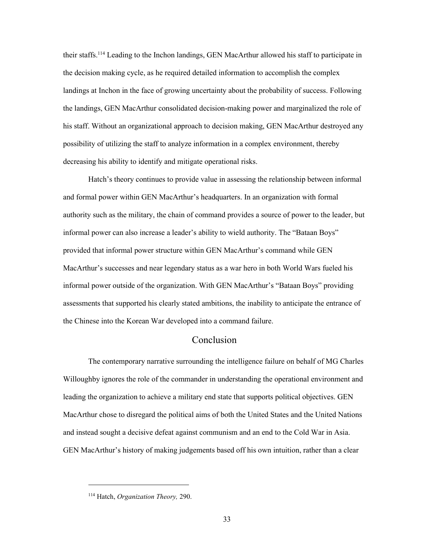their staffs.<sup>114</sup> Leading to the Inchon landings, GEN MacArthur allowed his staff to participate in the decision making cycle, as he required detailed information to accomplish the complex landings at Inchon in the face of growing uncertainty about the probability of success. Following the landings, GEN MacArthur consolidated decision-making power and marginalized the role of his staff. Without an organizational approach to decision making, GEN MacArthur destroyed any possibility of utilizing the staff to analyze information in a complex environment, thereby decreasing his ability to identify and mitigate operational risks.

Hatch's theory continues to provide value in assessing the relationship between informal and formal power within GEN MacArthur's headquarters. In an organization with formal authority such as the military, the chain of command provides a source of power to the leader, but informal power can also increase a leader's ability to wield authority. The "Bataan Boys" provided that informal power structure within GEN MacArthur's command while GEN MacArthur's successes and near legendary status as a war hero in both World Wars fueled his informal power outside of the organization. With GEN MacArthur's "Bataan Boys" providing assessments that supported his clearly stated ambitions, the inability to anticipate the entrance of the Chinese into the Korean War developed into a command failure.

### Conclusion

The contemporary narrative surrounding the intelligence failure on behalf of MG Charles Willoughby ignores the role of the commander in understanding the operational environment and leading the organization to achieve a military end state that supports political objectives. GEN MacArthur chose to disregard the political aims of both the United States and the United Nations and instead sought a decisive defeat against communism and an end to the Cold War in Asia. GEN MacArthur's history of making judgements based off his own intuition, rather than a clear

<sup>114</sup> Hatch, *Organization Theory,* 290.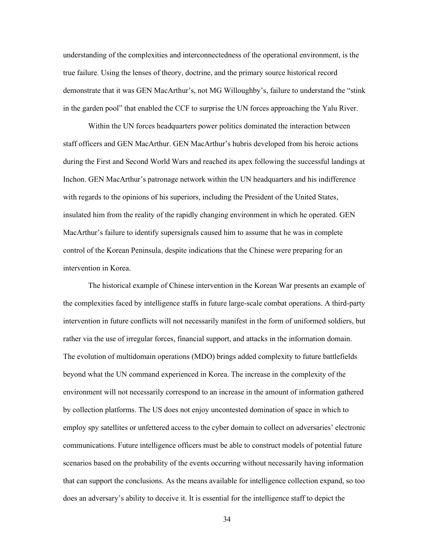understanding of the complexities and interconnectedness of the operational environment, is the true failure. Using the lenses of theory, doctrine, and the primary source historical record demonstrate that it was GEN MacArthur's, not MG Willoughby's, failure to understand the "stink in the garden pool" that enabled the CCF to surprise the UN forces approaching the Yalu River.

Within the UN forces headquarters power politics dominated the interaction between staff officers and GEN MacArthur. GEN MacArthur's hubris developed from his heroic actions during the First and Second World Wars and reached its apex following the successful landings at Inchon. GEN MacArthur's patronage network within the UN headquarters and his indifference with regards to the opinions of his superiors, including the President of the United States, insulated him from the reality of the rapidly changing environment in which he operated. GEN MacArthur's failure to identify supersignals caused him to assume that he was in complete control of the Korean Peninsula, despite indications that the Chinese were preparing for an intervention in Korea.

The historical example of Chinese intervention in the Korean War presents an example of the complexities faced by intelligence staffs in future large-scale combat operations. A third-party intervention in future conflicts will not necessarily manifest in the form of uniformed soldiers, but rather via the use of irregular forces, financial support, and attacks in the information domain. The evolution of multidomain operations (MDO) brings added complexity to future battlefields beyond what the UN command experienced in Korea. The increase in the complexity of the environment will not necessarily correspond to an increase in the amount of information gathered by collection platforms. The US does not enjoy uncontested domination of space in which to employ spy satellites or unfettered access to the cyber domain to collect on adversaries' electronic communications. Future intelligence officers must be able to construct models of potential future scenarios based on the probability of the events occurring without necessarily having information that can support the conclusions. As the means available for intelligence collection expand, so too does an adversary's ability to deceive it. It is essential for the intelligence staff to depict the

34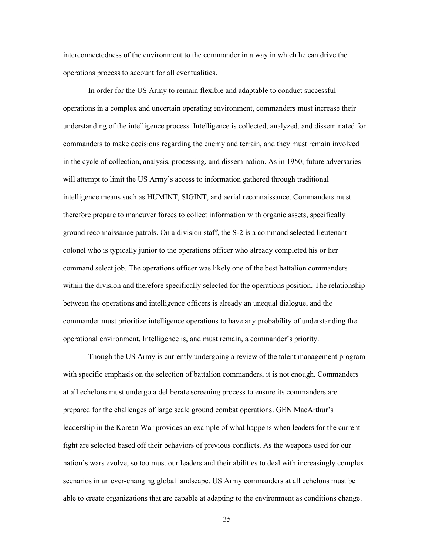interconnectedness of the environment to the commander in a way in which he can drive the operations process to account for all eventualities.

In order for the US Army to remain flexible and adaptable to conduct successful operations in a complex and uncertain operating environment, commanders must increase their understanding of the intelligence process. Intelligence is collected, analyzed, and disseminated for commanders to make decisions regarding the enemy and terrain, and they must remain involved in the cycle of collection, analysis, processing, and dissemination. As in 1950, future adversaries will attempt to limit the US Army's access to information gathered through traditional intelligence means such as HUMINT, SIGINT, and aerial reconnaissance. Commanders must therefore prepare to maneuver forces to collect information with organic assets, specifically ground reconnaissance patrols. On a division staff, the S-2 is a command selected lieutenant colonel who is typically junior to the operations officer who already completed his or her command select job. The operations officer was likely one of the best battalion commanders within the division and therefore specifically selected for the operations position. The relationship between the operations and intelligence officers is already an unequal dialogue, and the commander must prioritize intelligence operations to have any probability of understanding the operational environment. Intelligence is, and must remain, a commander's priority.

Though the US Army is currently undergoing a review of the talent management program with specific emphasis on the selection of battalion commanders, it is not enough. Commanders at all echelons must undergo a deliberate screening process to ensure its commanders are prepared for the challenges of large scale ground combat operations. GEN MacArthur's leadership in the Korean War provides an example of what happens when leaders for the current fight are selected based off their behaviors of previous conflicts. As the weapons used for our nation's wars evolve, so too must our leaders and their abilities to deal with increasingly complex scenarios in an ever-changing global landscape. US Army commanders at all echelons must be able to create organizations that are capable at adapting to the environment as conditions change.

35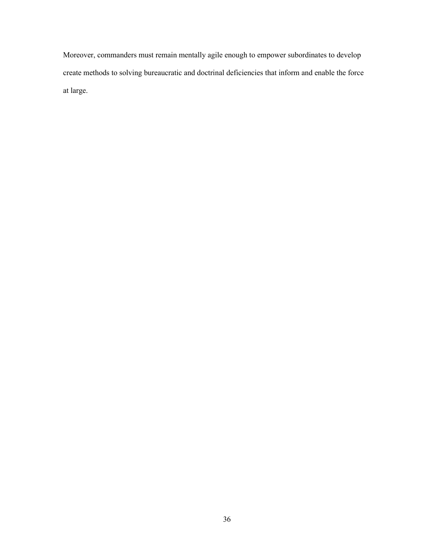Moreover, commanders must remain mentally agile enough to empower subordinates to develop create methods to solving bureaucratic and doctrinal deficiencies that inform and enable the force at large.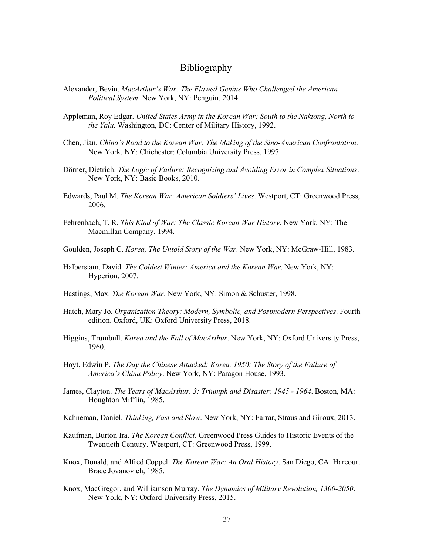#### Bibliography

- Alexander, Bevin. *MacArthur's War: The Flawed Genius Who Challenged the American Political System*. New York, NY: Penguin, 2014.
- Appleman, Roy Edgar. *United States Army in the Korean War: South to the Naktong, North to the Yalu.* Washington, DC: Center of Military History, 1992.
- Chen, Jian. *China's Road to the Korean War: The Making of the Sino-American Confrontation*. New York, NY; Chichester: Columbia University Press, 1997.
- Dörner, Dietrich. *The Logic of Failure: Recognizing and Avoiding Error in Complex Situations*. New York, NY: Basic Books, 2010.
- Edwards, Paul M. *The Korean War*: *American Soldiers' Lives*. Westport, CT: Greenwood Press, 2006.
- Fehrenbach, T. R. *This Kind of War: The Classic Korean War History*. New York, NY: The Macmillan Company, 1994.
- Goulden, Joseph C. *Korea, The Untold Story of the War*. New York, NY: McGraw-Hill, 1983.
- Halberstam, David. *The Coldest Winter: America and the Korean War*. New York, NY: Hyperion, 2007.
- Hastings, Max. *The Korean War*. New York, NY: Simon & Schuster, 1998.
- Hatch, Mary Jo. *Organization Theory: Modern, Symbolic, and Postmodern Perspectives*. Fourth edition. Oxford, UK: Oxford University Press, 2018.
- Higgins, Trumbull. *Korea and the Fall of MacArthur*. New York, NY: Oxford University Press, 1960.
- Hoyt, Edwin P. *The Day the Chinese Attacked: Korea, 1950: The Story of the Failure of America's China Policy*. New York, NY: Paragon House, 1993.
- James, Clayton. *The Years of MacArthur. 3: Triumph and Disaster: 1945 - 1964*. Boston, MA: Houghton Mifflin, 1985.
- Kahneman, Daniel. *Thinking, Fast and Slow*. New York, NY: Farrar, Straus and Giroux, 2013.
- Kaufman, Burton Ira. *The Korean Conflict*. Greenwood Press Guides to Historic Events of the Twentieth Century. Westport, CT: Greenwood Press, 1999.
- Knox, Donald, and Alfred Coppel. *The Korean War: An Oral History*. San Diego, CA: Harcourt Brace Jovanovich, 1985.
- Knox, MacGregor, and Williamson Murray. *The Dynamics of Military Revolution, 1300-2050*. New York, NY: Oxford University Press, 2015.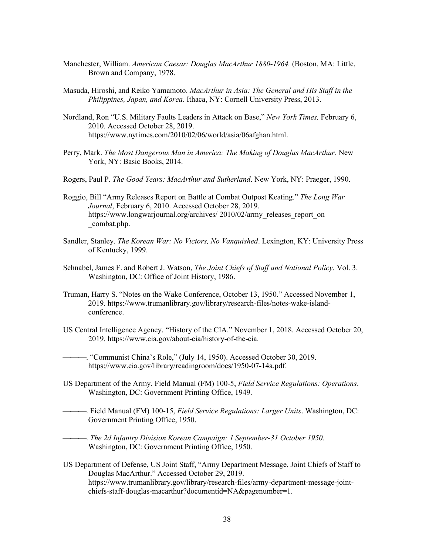- Manchester, William. *American Caesar: Douglas MacArthur 1880-1964.* (Boston, MA: Little, Brown and Company, 1978.
- Masuda, Hiroshi, and Reiko Yamamoto. *MacArthur in Asia: The General and His Staff in the Philippines, Japan, and Korea*. Ithaca, NY: Cornell University Press, 2013.
- Nordland, Ron "U.S. Military Faults Leaders in Attack on Base," *New York Times,* February 6, 2010. Accessed October 28, 2019. [https://www.nytimes.com/2010/02/06/world/asia/06afghan.html.](https://www.nytimes.com/2010/02/06/world/asia/06afghan.html)
- Perry, Mark. *The Most Dangerous Man in America: The Making of Douglas MacArthur*. New York, NY: Basic Books, 2014.
- Rogers, Paul P. *The Good Years: MacArthur and Sutherland*. New York, NY: Praeger, 1990.
- Roggio, Bill "Army Releases Report on Battle at Combat Outpost Keating." *The Long War Journal*, February 6, 2010. Accessed October 28, 2019. https://www.longwarjournal.org/archives/ 2010/02/army\_releases\_report\_on \_combat.php.
- Sandler, Stanley. *The Korean War: No Victors, No Vanquished*. Lexington, KY: University Press of Kentucky, 1999.
- Schnabel, James F. and Robert J. Watson, *The Joint Chiefs of Staff and National Policy.* Vol. 3. Washington, DC: Office of Joint History, 1986.
- Truman, Harry S. "Notes on the Wake Conference, October 13, 1950." Accessed November 1, 2019. [https://www.trumanlibrary.gov/library/research-files/notes-wake-island](https://www.trumanlibrary.gov/library/research-files/notes-wake-island-conference)[conference.](https://www.trumanlibrary.gov/library/research-files/notes-wake-island-conference)
- US Central Intelligence Agency. "History of the CIA." November 1, 2018. Accessed October 20, 2019. [https://www.cia.gov/about-cia/history-of-the-cia.](https://www.cia.gov/about-cia/history-of-the-cia)

⎯⎯⎯. "Communist China's Role," (July 14, 1950). Accessed October 30, 2019. [https://www.cia.gov/library/readingroom/docs/1950-07-14a.pdf.](https://www.cia.gov/library/readingroom/docs/1950-07-14a.pdf)

- US Department of the Army. Field Manual (FM) 100-5, *Field Service Regulations: Operations*. Washington, DC: Government Printing Office, 1949.
- ⎯⎯⎯. Field Manual (FM) 100-15, *Field Service Regulations: Larger Units*. Washington, DC: Government Printing Office, 1950.

⎯⎯⎯. *The 2d Infantry Division Korean Campaign: 1 September-31 October 1950.*  Washington, DC: Government Printing Office, 1950.

US Department of Defense, US Joint Staff, "Army Department Message, Joint Chiefs of Staff to Douglas MacArthur." Accessed October 29, 2019. [https://www.trumanlibrary.gov/library/research-files/army-department-message-joint](https://www.trumanlibrary.gov/library/research-files/army-department-message-joint-chiefs-staff-douglas-macarthur?documentid=NA&pagenumber=1)[chiefs-staff-douglas-macarthur?documentid=NA&pagenumber=1.](https://www.trumanlibrary.gov/library/research-files/army-department-message-joint-chiefs-staff-douglas-macarthur?documentid=NA&pagenumber=1)